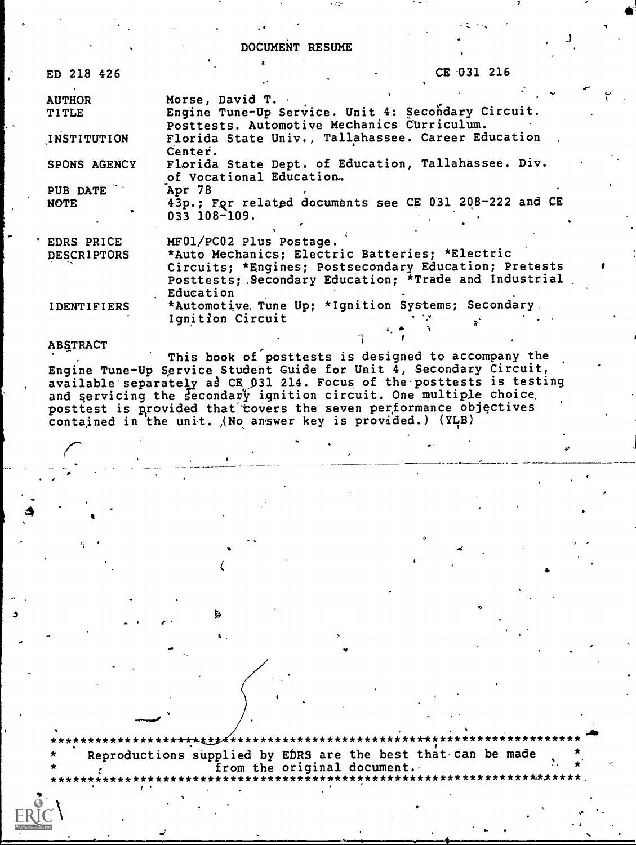DOCUMENT RESUME

| ED 218 426         | CE 031 216                                                                                                                                                                                                                                                                                                                                                                                                           |
|--------------------|----------------------------------------------------------------------------------------------------------------------------------------------------------------------------------------------------------------------------------------------------------------------------------------------------------------------------------------------------------------------------------------------------------------------|
|                    |                                                                                                                                                                                                                                                                                                                                                                                                                      |
| <b>AUTHOR</b>      | Morse, David T.                                                                                                                                                                                                                                                                                                                                                                                                      |
| <b>TITLE</b>       | Engine Tune-Up Service. Unit 4: Secondary Circuit.                                                                                                                                                                                                                                                                                                                                                                   |
|                    | Posttests. Automotive Mechanics Curriculum.                                                                                                                                                                                                                                                                                                                                                                          |
| INSTITUTION        | Florida State Univ., Tallahassee. Career Education                                                                                                                                                                                                                                                                                                                                                                   |
|                    | Center.                                                                                                                                                                                                                                                                                                                                                                                                              |
| SPONS AGENCY       | Florida State Dept. of Education, Tallahassee. Div.                                                                                                                                                                                                                                                                                                                                                                  |
|                    | of Vocational Education.                                                                                                                                                                                                                                                                                                                                                                                             |
| PUB DATE           | Apr 78                                                                                                                                                                                                                                                                                                                                                                                                               |
| <b>NOTE</b>        | 43p.; For related documents see CE 031 208-222 and CE                                                                                                                                                                                                                                                                                                                                                                |
|                    | $033$ $108 - 109$ .                                                                                                                                                                                                                                                                                                                                                                                                  |
|                    |                                                                                                                                                                                                                                                                                                                                                                                                                      |
| EDRS PRICE         | MF01/PC02 Plus Postage.                                                                                                                                                                                                                                                                                                                                                                                              |
| <b>DESCRIPTORS</b> | *Auto Mechanics; Electric Batteries; *Electric                                                                                                                                                                                                                                                                                                                                                                       |
|                    | Circuits; *Engines; Postsecondary Education; Pretests                                                                                                                                                                                                                                                                                                                                                                |
|                    | Posttests; . Secondary Education; *Trade and Industrial                                                                                                                                                                                                                                                                                                                                                              |
|                    | Education                                                                                                                                                                                                                                                                                                                                                                                                            |
| <b>IDENTIFIERS</b> | *Automotive, Tune Up; *Ignition Systems; Secondary.                                                                                                                                                                                                                                                                                                                                                                  |
|                    | $I \sim \frac{1}{2} + \frac{3}{2} \sim \frac{1}{2} + \frac{1}{2} \sim \frac{1}{2} + \frac{1}{2} \sim \frac{1}{2} + \frac{1}{2} \sim \frac{1}{2} + \frac{1}{2} \sim \frac{1}{2} + \frac{1}{2} \sim \frac{1}{2} + \frac{1}{2} \sim \frac{1}{2} + \frac{1}{2} \sim \frac{1}{2} + \frac{1}{2} \sim \frac{1}{2} + \frac{1}{2} \sim \frac{1}{2} + \frac{1}{2} \sim \frac{1}{2} + \frac{1}{2} \sim \frac{1}{2} + \frac{1}{$ |

### ABSTRACT

This book of posttests is designed to accompany the Engine Tune-Up Service Student Guide for Unit 4, Secondary Circuit,<br>available separately as CE 031 214. Focus of the posttests is testing<br>and servicing the secondary ignition circuit. One multiple choice posttest is provided that covers the seven performance objectives contained in the unit. (No answer key is provided.) (YLB)

Reproductions supplied by EDRS are the best that can be made<br>from the original document. \*\*\*\*\*\*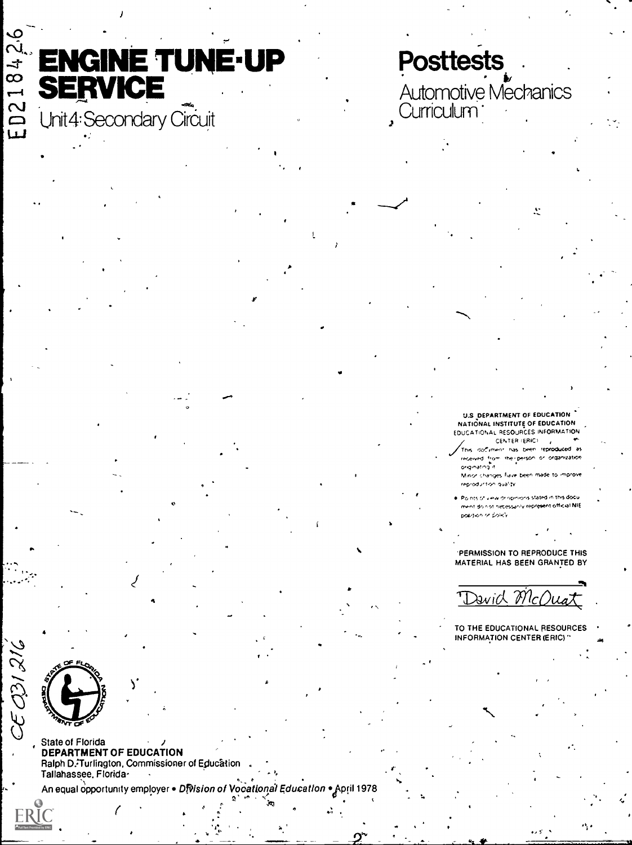# 18426 **ENGINE TUNE-UP SERVICE** ED2: Unit4:Secondary Circuit

**Posttests** 

Automotive Mechanics<br>Curriculum

**U.S. DEPARTMENT OF EDUCATION** NATIONAL INSTITUTE OF EDUCATION EDUCATIONAL RESOURCES INFORMATION CENTER (ERIC)

 $\mathcal{L}$ 

document has been reproduced as eceived from the person or organization originating it. Minor changes have been made to improvi reproduction quality

Points of year or opinions stated in this docu ment do riot necessarily represent official NIE pasition or bolicy

**PERMISSION TO REPRODUCE THIS** MATERIAL HAS BEEN GRANTED BY

David McOuat

TO THE EDUCATIONAL RESOURCES INFORMATION CENTER (ERIC) "



**CE 031216** 

State of Florida **DEPARTMENT OF EDUCATION** Ralph D. Turlington, Commissioner of Education Tallahassee, Florida-

An equal opportunity employer . Division of Vocational Education . April 1978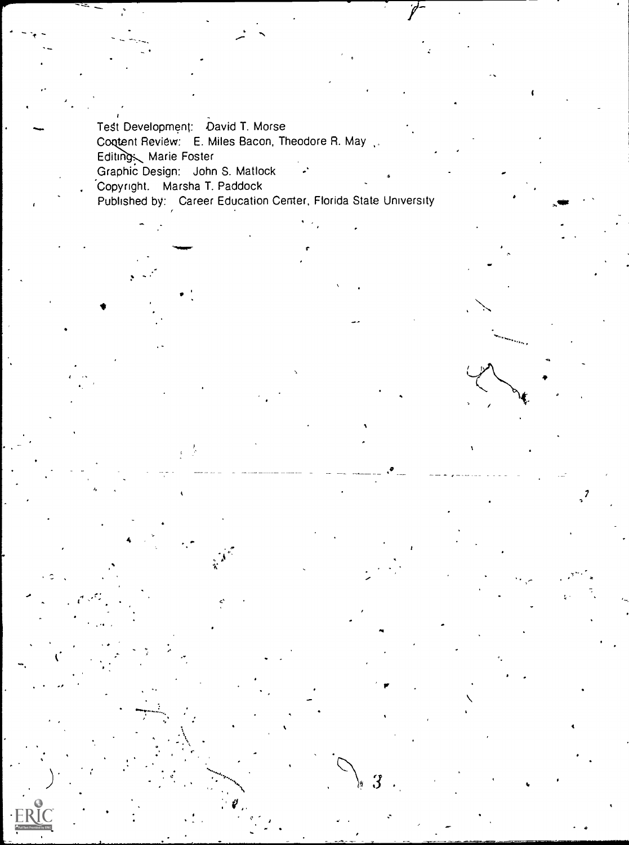Test Development: David T. Morse Content Review: E. Miles Bacon, Theodore R. May Editing<br>
Marie Foster<br>
Graphic Design: John S. Matlock Copyright. Marsha T. Paddock Published by: Career Education Center, Florida State University

 $\boldsymbol{\beta}$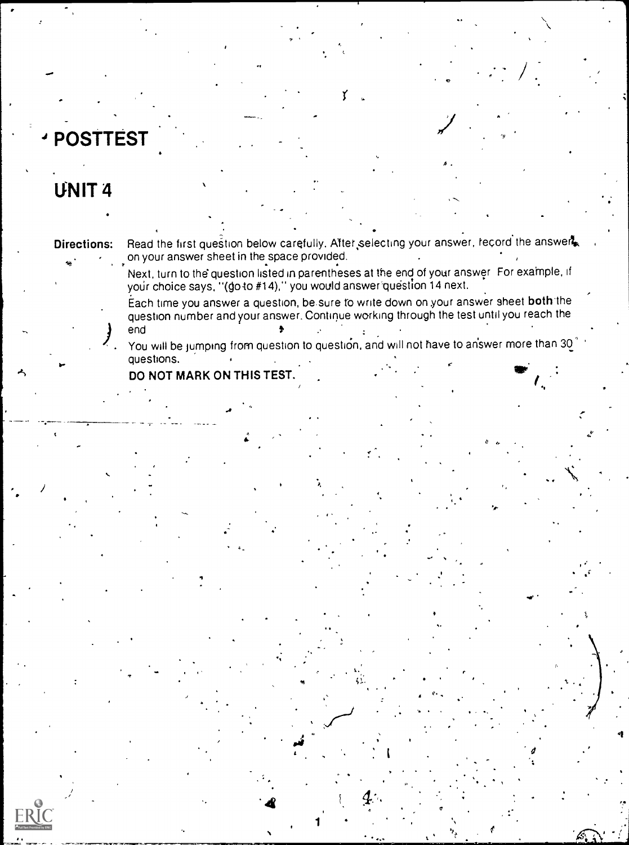# <sup>4</sup> POSTTEST

# UNIT 4

 $\mathcal{I}$ 

Directions: Read the first question below carefully. After selecting your answer, record the answers on your answer sheet in the space provided.

 $\bullet$  contracts to  $\bullet$ 

Next, turn to the question listed in parentheses at the end of your answer For example, if your choice says, "(go to #14)," you would answer question 14 next.

Each time you answer a question, be,sure to write down on your answer sheet both-the question number and your answer. Continue working through the test until you reach the end

You will be jumping from question to question, and will not have to answer more than 30 questions.

. .

.1

I.

DO NOT MARK ON THIS TEST.

 $\mathbf{I}$  and  $\mathbf{I}$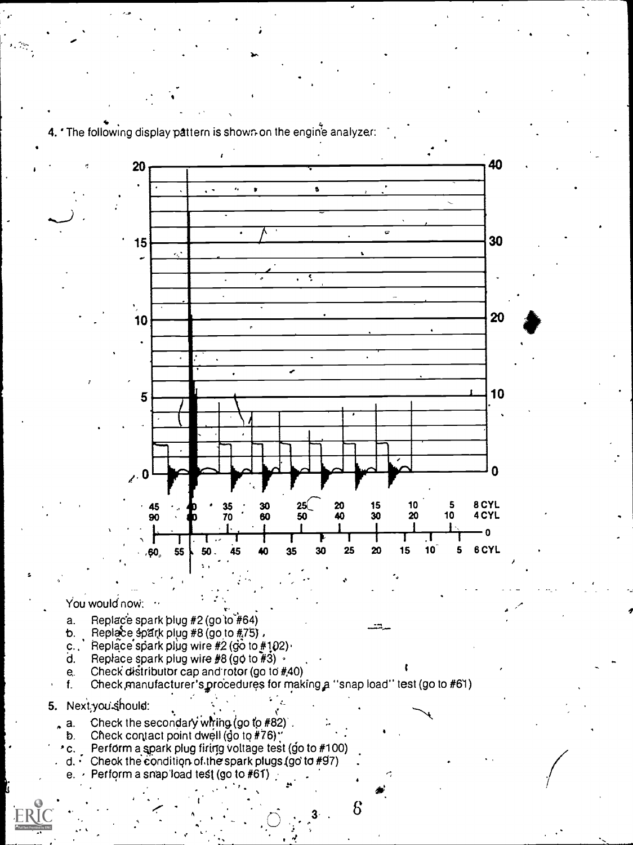40 20  $\epsilon_{\rm f}$ 6  $\ddot{\phantom{1}}$  $\bullet$  $\bullet$ ø 30  $15$ र्  $\bullet$ 20 10 10 5  $-$  1  $+$  $\chi$ . 0 0  $\frac{25}{50}$ 15 10 5<br>30 20 10  $\frac{35}{70}$   $\begin{array}{c} 30 \\ 60 \end{array}$ 30 25( 20 15 10<br>60 50 40 30 20 45<br>90 5 8C YL 60 30 20 10 4C YL 90 MD 70  $\mathbf 0$ 1 P I I,  $\mathbf{I}$   $\cdot$ 1 20 15 5 6 CYL §0, 55 50. 35 30 25 50、 45 40 35<br><sub>}</sub>, You would now: ... a. Replace spark plug #2 (go to #64)<br>b. Replace spark plug #8 (go to #75) Replace spark plug #8 (go to #75) , c., Replace spark plug wire #2 (go to #102).<br>d. Replace spark plug wire #8 (go to #3) Replace spark plug wire  $#8$  (go to  $#3$ )  $\cdot$ e. Check distributor cap and rotor (go to  $#40$ )<br>f. Check manufacturer's procedures for mak Check,manufacturer's procedures for making a "snap load" test (go to #61) 5. Next you should: a. Check the secondary whing (go to  $#82$ ). b. Check contact point dwell  $(do \text{ to } #76)$ <br>' c. Perform a spark plug firing voltage tes<br>d. Check the condition of the spark plugs Perform a spark plug firing voltage test (go to #100) Check the condition of the spark plugs (go' to  $#97$ ) e.  $\cdot$  Perform a snap load test (go to #61)

.

8

, I is a set of  $\mathcal{H}$  is a set of  $\mathcal{H}$ 

4. ' The following display pattern is shown on the engine analyzer:

 $\blacksquare$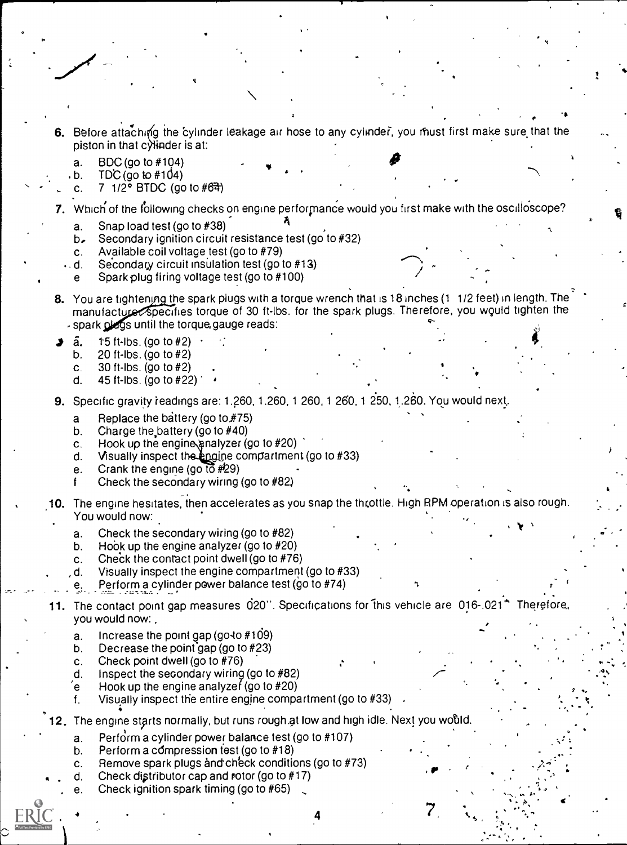- 6. Before attaching the cylinder leakage air hose to any cylinder, you must first make sure that the  $p$  piston in that  $c$  diffunder is at:
	- a. BDC (go to #104)
	- $\cdot$  b. TDC (go to  $\#104$ )
	- c. 7  $1/2^{\circ}$  BTDC (go to  $\#6\frac{2}{3}$ )
- 7. Which of the following checks on engine performance would you first make with the oscilloscope?
	- a. Snap load test (go to #38)
	- b. Secondary ignition circuit resistance test (go to #32)
	- c. Available coil voltage test (go to #79)
	- $\ddot{\phantom{a}}$ . Secondary circuit insulation test (go to #13)
		- e Sparkplug firing voltage test (go to #100)
- 8. You are tightening the spark plugs with a torque wrench that is 18 inches (1 1/2 feet) in length. The manufacture specifies torque of 30 ft-lbs. for the spark plugs. Therefore, you would tighten the spark plags until the torque, gauge reads:

 $\sim$ 

Andrew Controller

 $\mathcal{N}$ . The set of  $\mathcal{N}$ 

:7,

 $\mathcal{H} \subset \mathbb{R}^{n \times n}$ 

- $\mathbf{\hat{a}}. \quad$  15 ft-lbs. (go to #2)
	- b. 20 ft-lbs. (go to #2)
	- c.  $30$  ft-lbs. (go to  $#2$ )
	- d. 45 ft-lbs. (go to #22)
- 9. Specific gravity readings are: 1.260, 1.260, 1.260, 1.260, 1.250, 1.260. You would next.
	- a Replace the battery (go to  $#75$ )
	- b. Charge the battery (go to #40)
	- c. Hook up the engine analyzer (go to  $#20$ )
	- d. Visually inspect the engine compartment (go to #33)
	- e. Crank the engine (go to  $#29$ )
	- f Check the secondary wiring (go to #82)
- 10. The engine hesitates, then accelerates as you snap the throttle. High RPM operation is also rough.<br>You would now:
	- a. Check the secondary wiring (go to  $#82$ )
	- b. Hook up the engine analyzer (go to  $#20$ )
	- c. Che'ck the contact point dwell (go to #76)
	- d. Visually inspect the engine compartment (go to  $#33$ )
	- Perform a cylinder power balance test (go to #74)
- 11. The contact point gap measures 020". Specifications for this vehicle are 016-.021<sup>\*</sup> Therefore, you would now:
	- a. Increase the point gap (goto #1d9)
	- b. Decrease the point gap (go to #23)
	- c. Check point dwell (go to #76)
	- d. Inspect the secondary wiring (go to #82)
	- 'e Hook up the engine analyzef (go to #20)
	- f. Visually inspect the entire engine compartment (go to #33)
- 12. The engine starts normally, but runs rough at low and high idle. Next you would.
	- a. Perform a cylinder power balance test (go to  $#107$ )
	- b. Perform a cdmpression test (go to #18)
	- c. Remove spark plugs and check conditions (go to  $#73$ )
	- d. Check distributor cap and rotor (go to  $#17$ )
	- e. Check ignition spark timing (go to #65)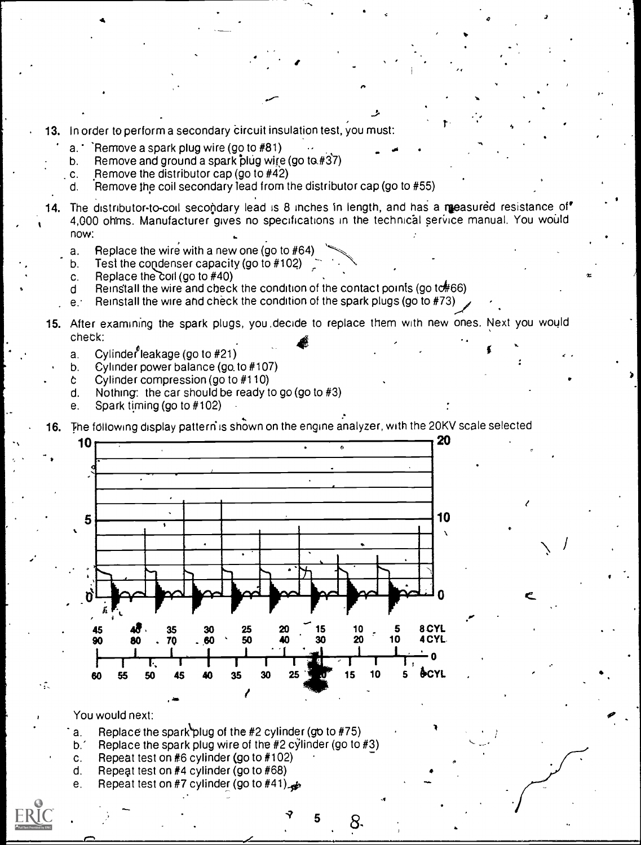- 13. In order to perform a secondary circuit insulation test, you must:
	- a. ' Remove a spark plug wire (go to  $#81$ )
	- b. Remove and ground a spark plug wire (go to  $\#37$ )
	- c. Remove the distributor cap (go to #42)
	- d. Remove the coil secondary lead from the distributor cap (go to  $#55$ )
- 14. The distributor-to-coil secondary lead is 8 inches in length, and has a measured resistance of 4,000 ohms. Manufacturer gives no specifications in the technical service manual. You would now:
	- a. Replace the wire with a new one (go to #64)
	- b. Test the condenser capacity (go to  $#102$ )
	- c. Replace the coil (go to  $#40$ )
	- d Reinstall the wire and check the condition of the contact points (go to  $#66$ )
	- $e$ : Reinstall the wire and check the condition of the spark plugs (go to #73)
- 15. After examining the spark plugs, you ,decide to replace them with new ones. Next you would check:
	- a. Cylinder<sup> $\ell$ </sup>leakage (go to  $\#21$ )
	- b. Cylinder power balance (go. to #107)
	- Cylinder compression (go to #110) Ċ
	- d. Nothing: the car should be ready to go (go to #3)
	- e. Spark timing (go to #102)

16. The following display pattern is shown on the engine analyzer, with the 20KV scale selected



# You would next:  $\qquad \qquad \bullet \qquad \qquad$

T.

- a. Replace the spark plug of the  $#2$  cylinder (go to  $#75$ )
- b.' Replace the spark plug wire of the  $#2$  cylinder (go to  $#3$ )
- c. Repeat test on #6 cylinder (go to #102)
- d. Repeat test on #4 cylinder (go to #68)
- e. Repeat test on #7 cylinder (go to #41) $\leftrightarrow$

 $-7$  5 0

0.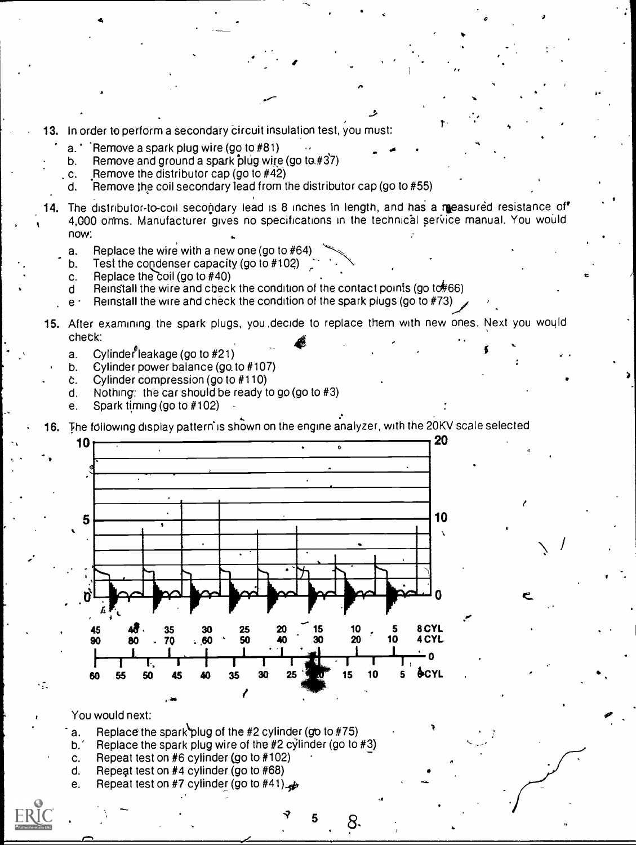- 13. In order to perform a secondary circuit insulation test, you must:
	-

4

- a. ' Remove a spark plug wire (go to  $#81$ )<br>b. Remove and ground a spark plug wire Remove and ground a spark plug wire (go to  $#37$ )
- c. Remove the distributor cap (go to #42)
- d. Remove the coil secondary lead from the distributor cap (go to #55)
- 14. The distributor-to-coil secondary lead is 8 inches in length, and has a reeasured resistance of 4,000 ohms. Manufacturer gives no specifications in the technical service manual. You would now:

2

e

- a. Replace the wire with a new one (go to #64)
- b. Test the condenser capacity (go to  $#102$ )
- c. Replace the coil (go to  $#40$ )
- d Reinstall the wire and check the condition of the contact points (go to  $#66$ )
- e Reinstall the wire and check the condition of the spark plugs (go to  $#73$ )
- 15. After examining the spark plugs, you decide to replace them with new ones. Next you would cheek:
	- a. Cylinder<sup>6</sup>leakage (go to  $#21$ )
	- b. Cylinder power balance (go. to #107)
	- $\text{c.}$  Cylinder compression (go to  $\text{\#110}$ )
	- d. Nothing: the car should be ready to go (go to #3)
	- e. Spark timing (go to #102)

16. The following display pattern is shown on the engine analyzer, with the 20KV scale selected



### You would next:

١Ť.

- a. Replace the spark plug of the #2 cylinder (go to  $#75$ )
- b.' Replace the spark plug wire of the  $#2$  cylinder (go to  $#3$ )
- c. Repeat test on #6 cylinder (go to #102)
- d. Repeat test on #4 cylinder (go to #68)
- e. Repeat test on #7 cylinder (go to #41) $\leftrightarrow$

 $\sqrt{7}$  5 0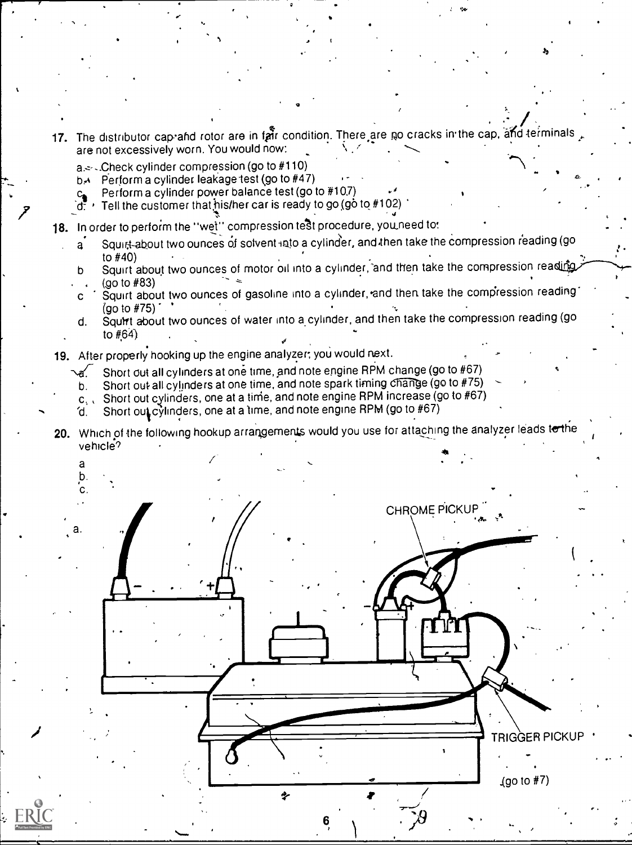- 17. The distributor cap and rotor are in fair condition. There are no cracks in the cap, and terminals  $\ddot{\,}$ are not excessively worn. You would now: . .
	-

if

- 
- a.=---.Check cylinder compression (go to #110) . . .. b. Perform a cylinder leakage lest (go to #47) . a. ,
- $\cdot$  Tell the customer that his/her car is ready to go (go to #102)
- $\begin{array}{ccc}\n\mathbf{c}_1 & \mathbf{P} \text{erform a cylinder power balance test (go to #10.7)} \\
\mathbf{c}_2 & \mathbf{C}_3 & \mathbf{C}_4 & \mathbf{C}_5 & \mathbf{C}_6 \\
\mathbf{d}_1 & \mathbf{f} & \mathbf{f} & \mathbf{c} & \mathbf{c}\n\end{array}$  $\mathcal{L}$  , and the set of the set of the set of the set of the set of the set of the set of the set of the set of the set of the set of the set of the set of the set of the set of the set of the set of the set of the set **18.** In order to perform the "wet" compression test procedure, you need to:  $\sim$ 
	- a Squirt-about two ounces of solvent-into a cylinder, and then take the compression reading (go<br>to #40) to #40)

.

 $\mathcal{L}_{\mathcal{F}}$ 

- b Squirt about two ounces of motor oil into a cylinder, and then take the compression reading.//<br>,(go to #83) (go to #83)
- c. Squirt about two ounces of gasoline into a cylinder, and then take the compression reading
- (go to #75) d. SquIft about two ounces of water into a. cylinder, and then take the compression reading (go to  $#64$ )
- 19. After properly hooking up the engine analyzer; you would next.

a p. c.

a.

- Short out all cylinders at one time, and note engine RPM change (go to #67)  $\sqrt{a}$ .
- b. Short out all cylinders at one time, and note spark timing  $\widehat{C}$  of  $\widehat{G}$  (go to  $\#75$ )
- c. Short out cylinders, one at a time, and note engine RPM increase (go to #67)<br>d. Short out cylinders, one at a time, and note engine RPM (go to #67)

ş

- Short out cylinders, one at a time, and note engine RPM (go to #67)
- 20. Which of the following hookup arrangements would you use for attaching the analyzer leads to the vehicle'?

CHROME PICKUP

**TRIGGER PICKUP** 

 $($ go to  $#7)$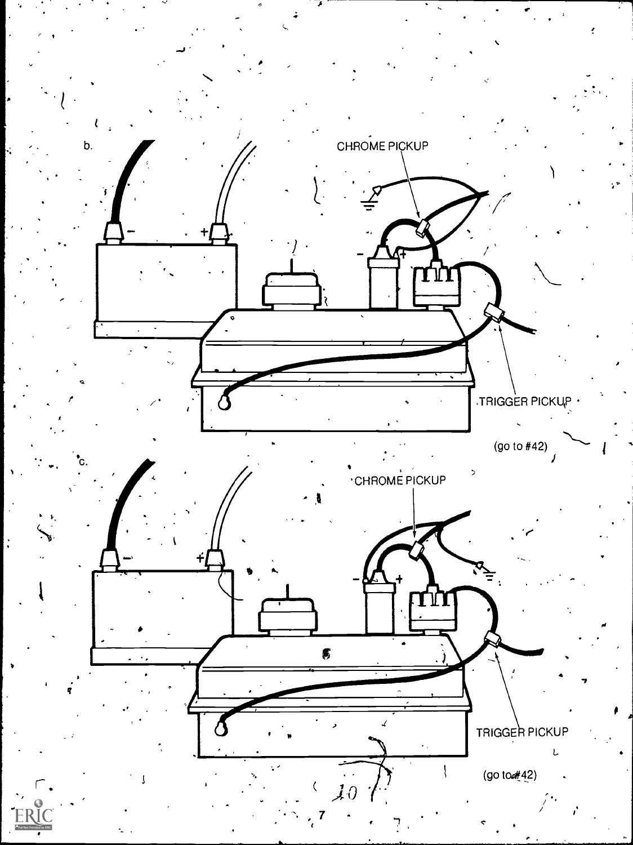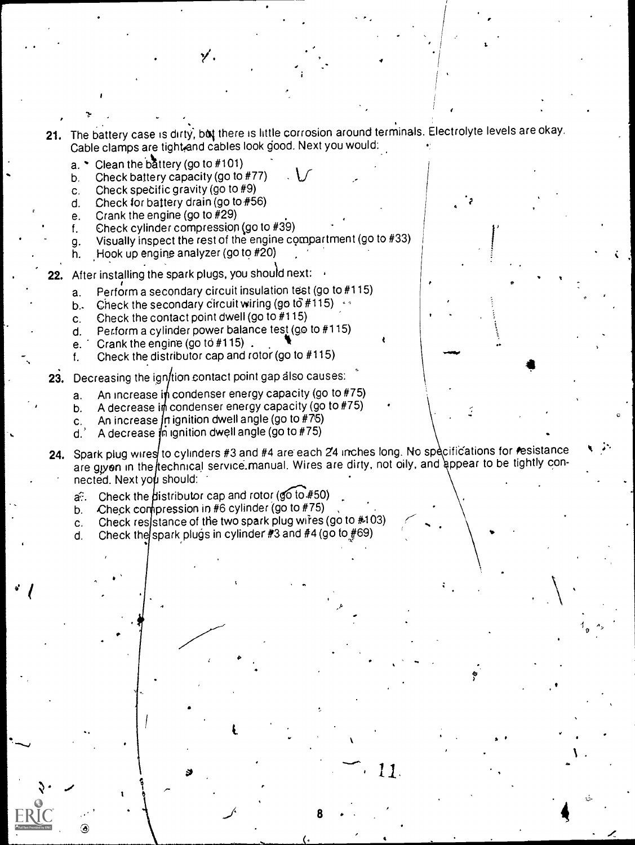21. The battery case is dirty, but there is little corrosion around terminals. Electrolyte levels are okay. Cable clamps are tight and cables look good. Next you would:

4

p

t and the state of the state of the state of the state of the state of the state of the state of the state of the state of the state of the state of the state of the state of the state of the state of the state of the stat

1.611161.11

t

11.

- a.  $\cdot$  Clean the battery (go to #101)
- b. Check battery capacity (go to  $#77$ )
- c. Check specific gravity (go to #9)
- d. Check for battery drain (go to#56)
- e. Crank the engine (go to #29)

f

1'

- f. Check cylinder compression (go to #39)
- g. Visually inspect the rest of the engine compartment (go to #33)<br>h. Hook up engine analyzer (go to #20)
- h. Hook up engine analyzer (go to #20)
- **22.** After installing the spark plugs, you should next:  $\theta$ 
	- a. Perform a secondary circuit insulation test (go to #115)
	- b. Check the secondary circuit wiring (go to  $#115$ )  $\cdots$
	- c. Check the contact point dwell (go to #115)
	- d. Perform a cylinder power balance test (go to #115)
	- e.  $\cdot$  Crank the engine (go to #115).

I

/".

- f. Check the distributor cap and rotor (go to  $#115$ )
- 23. Decreasing the ign/tion contact point gap also causes:
	- a. An increase in condenser energy capacity (go to #75)
	- b. A decrease in condenser energy capacity (go to #75) frace
	- c. An increase in ignition dwell angle (go to  $\#75$ )
	- d.' A decrease in ignition dwell angle (go to #75)
- 24. Spark plug wired to cylinders #3 and #4 are each 24 inches long. No specifications for resistance are given in the technical service manual. Wires are dirty, not oily, and appear to be tightly connected. Next you should: The
	- a. Check the distributor cap and rotor (go to  $#50$ )
	- b. Check compression in  $#6$  cylinder (go to  $#75$ )
	- c. Check ressstance of the two spark plug wires (go to  $#103$ )

 $\bullet$  and the set of  $\bullet$ 

 $J$  8  $\cdot$ 

d. Check the spark plugs in cylinder #3 and  $#4$  (go to  $#69$ )

 $\mathcal{P}$  and  $\mathcal{P}$ 

4..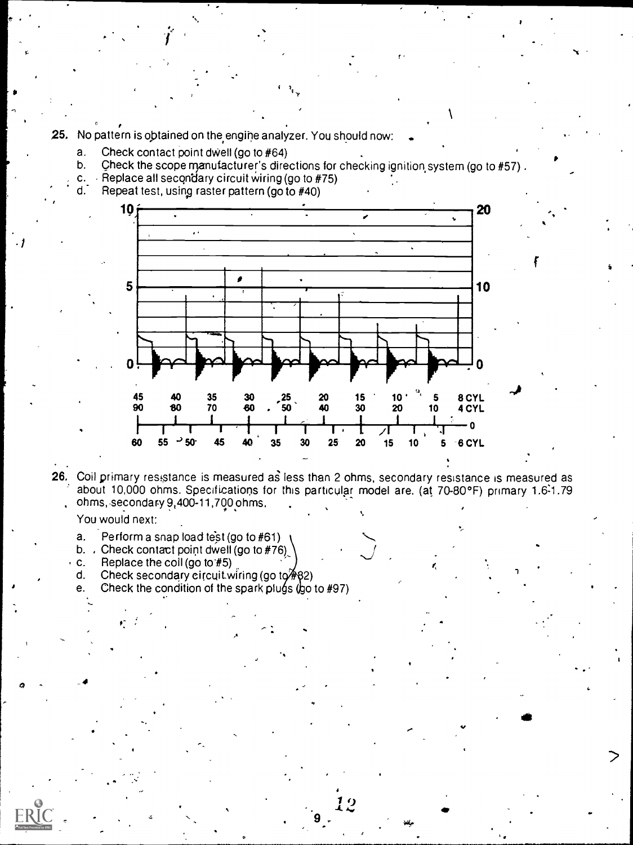25. No pattern is obtained on the engine analyzer. You should now:

- Check contact point dwell (go to #64) a.
- Check the scope manufacturer's directions for checking ignition system (go to #57) b.
- c. Replace all secondary circuit wiring (go to  $#75$ )
- Repeat test, using raster pattern (go to #40)  $d^{\dagger}$



26. Coil primary resistance is measured as less than 2 ohms, secondary resistance is measured as about 10,000 ohms. Specifications for this particular model are. (at 70-80°F) primary 1.6-1.79 ohms, secondary 9,400-11,700 ohms.

You would next:

- Perform a snap load test (go to #61) a.
- b. . Check contact point dwell (go to  $#76$ )
- Replace the coll (go to #5)  $\mathbf{c}$ .
- d. Check secondary circuit wiring (go to  $\frac{1}{4}$ 82)
- Check the condition of the spark plugs (go to #97) e.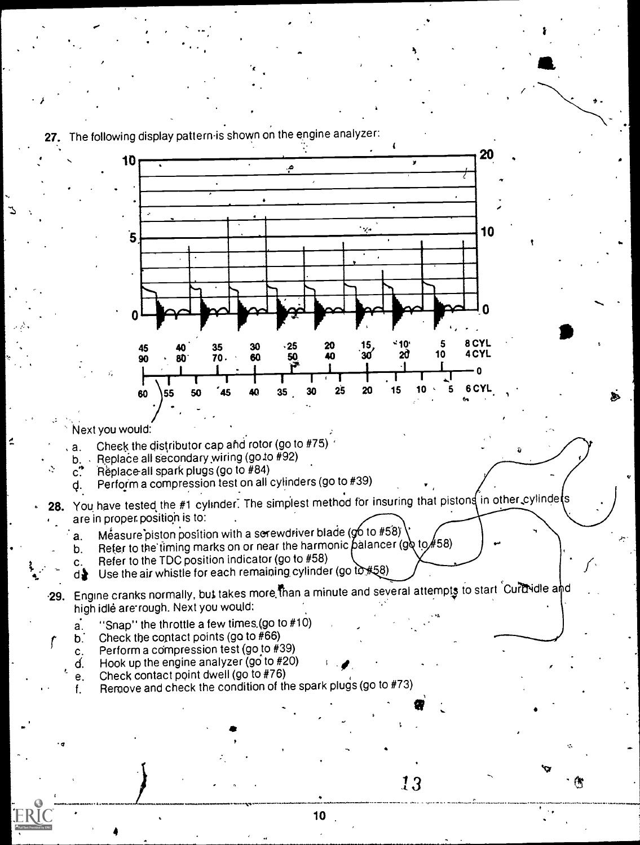

10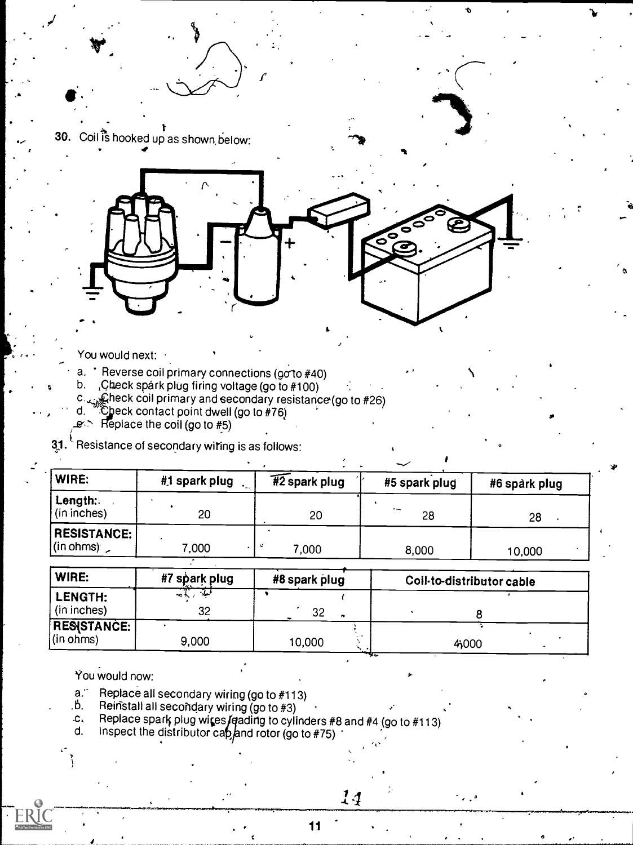<sup>1</sup><br>30. Coil is hooked up as shown below:



You would next:

r

- a. Reverse coil primary connections (go to #40)
- b. Check spark plug firing voltage (go to #100)
- c.  $\mathcal{L}_{\mathcal{A}_{\mathcal{B}}}\!$  (heck coil primary and secondary resistance (go to #26)
- d.  $\Gamma$  Check contact point dwell (go to #76)  $\Gamma$
- Heplace the coil (go to #5)

 $3.1$ .<sup>t</sup> Resistance of secondary wiring is as follows:

| <b>WIRE:</b>                         | #1 spark plug | $#2$ spark plug | #5 spark plug | #6 spàrk plug |  |
|--------------------------------------|---------------|-----------------|---------------|---------------|--|
| Length:<br>(in inches)               | 20            | 20              | $\sim$<br>28  | 28            |  |
| <b>RESISTANCE:  </b><br> (in ohms) _ | 000,          | 7,000           | 8,000         | 10,000        |  |

| WIRE:              | #7 spark plug  | #8 spark plug   | Coil-to-distributor cable |
|--------------------|----------------|-----------------|---------------------------|
| <b>LENGTH:</b>     | استرو<br>rak 1 |                 |                           |
| (in inches)        | 32             | 32<br>$\bullet$ |                           |
| <b>RESISTANCE:</b> |                |                 |                           |
| (in ohms)          | 9,000          | 10,000          | 4,000                     |

.

You would now:

a. $\degree$  Replace all secondary wiring (go to #113)<br>b. Reinstall all secondary wiring (go to #3)

.15. Reiristall all secondary wiring (go to #3)

- c. Replace spark plug wires *feading* to cylinders #8 and #4 (go to #113) d. Inspect the distributor cap and rotor (go to #75)
- 

11

 $\it 14$ 

فرادة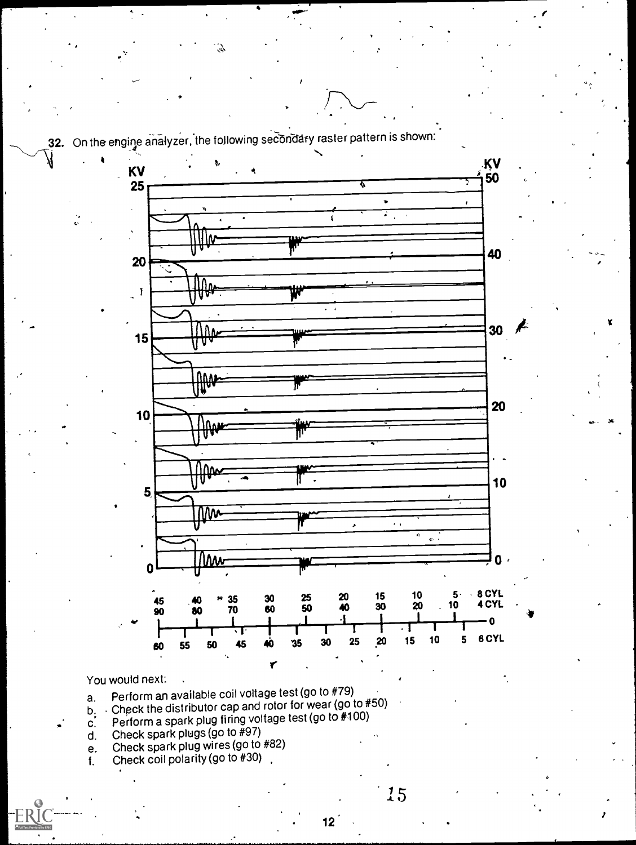$22.$  On the engine analyzer, the following secondary raster pattern is shown:



# You would next:

- a. Perform an available coil voltage test (go to  $#79$ )<br>b. Check the distributor cap and rotor for wear (go t
- b. Check the distributor cap and rotor for wear (go to #50)<br>c. Perform a spark plug firing voltage test (go to #100)
- c. Perform a spark plug firing voltage test (go to #100)<br>d. Check spark plugs (go to #97)
- 
- d. Check spark plugs (go to #97)<br>e. Check spark plug wires (go to e. Check spark plug wires (go to #82)<br>f. Check coil polarity (go to #30).
- Check coil polarity (go to #30).

.15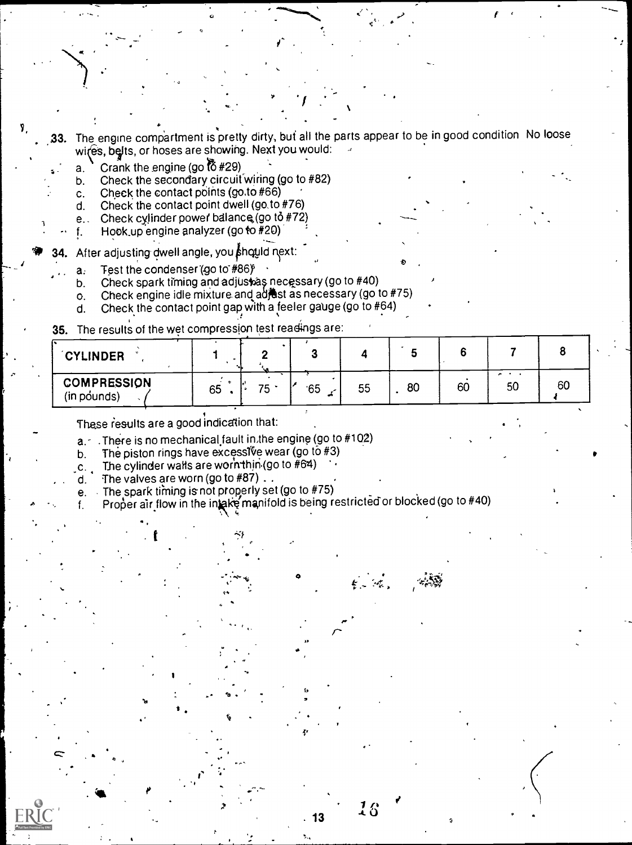V, 33 The engine compartment is pretty dirty, but all the parts appear to be in good condition No loose wires, belts, or hoses are showing. Next you would:

- a. Crank the engine (go  $\ddot{6}$  #29)
- b. Check the secondary circuit wiring (go to #82)
- c. Check the contact points (go.to #66)<br>d. Check the contact point dwell (go.to
- Check the contact point dwell (go, to #76)
- e.. Check cylinder power balance (go to  $#72$ )
- Hook up engine analyzer (go to #20)

After adjusting dwell angle, you should next:

- a. Test the condenser (go to  $#86$ )<sup>e</sup>
- b. Check spark timing and adjust as necessary (go to #40)
- o. Check engine idle mixture and adiest as necessary (go to  $#75$ )<br>d. Check the contact point gap with a feeler gauge (go to  $#64$ )
- Check the contact point gap with a feeler gauge (go to  $#64$ )

# 35. The results of the wet compression test readings are:

| <b>CYLINDER</b>                   |    |        |     |    |    |    |    |    |  |
|-----------------------------------|----|--------|-----|----|----|----|----|----|--|
| <b>COMPRESSION</b><br>(in pounds) | 65 | $75 -$ | .65 | 55 | 80 | 60 | 50 | 60 |  |

13

 $\mathcal{L}$  is the set of  $\mathcal{L}$ 

16

These results are a good indication that:

a.- .There is no mechanical fault in,the engine (go to #102)

 $\mathbf{b}$  by a set of  $\mathbf{b}$ 

- b. The piston rings have excessive wear (go to  $#3$ )
- c. The cylinder walls are worn thin (go to  $#64$ )
- d. The valves are worn (go to  $#87$ ).

t in the second second in the second second second in the second second second in the second second second second second second second second second second second second second second second second second second second sec

- e. The spark timing is not properly set (go to #75)
- f. Proper air flow in the intake manifold is being restricted or blocked (go to #40)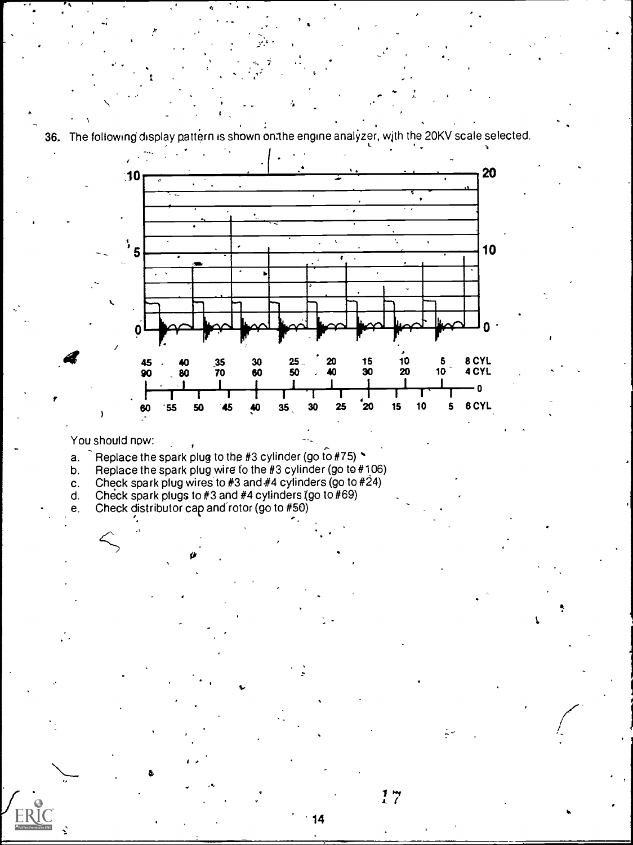36. The following display pattern is shown on the engine analyzer, with the 20KV scale selected.



'14

17

# You should now:

N

No. of the Contract

- a. Replace the spark plug to the #3 cylinder (go to #75)  $\bullet$ <br>b. Replace the spark plug wire to the #3 cylinder (go to #1)
- b. Replace the spark plug wire to the #3 cylinder (go to #106)<br>c. Check spark plug wires to #3 and #4 cylinders (go to #24)
- c. Check spark plug wires to #3 and #4 cylinders (go to #24)<br>d. Check spark plugs to #3 and #4 cylinders (go to #69)

 $\mathbf{p}$  and  $\mathbf{p}$ 

- d. Check spark plugs to #3 and #4 cylinders (go to #69)<br>e. Check distributor cap and rotor (go to #50)
- Check distributor cap and rotor (go to #50)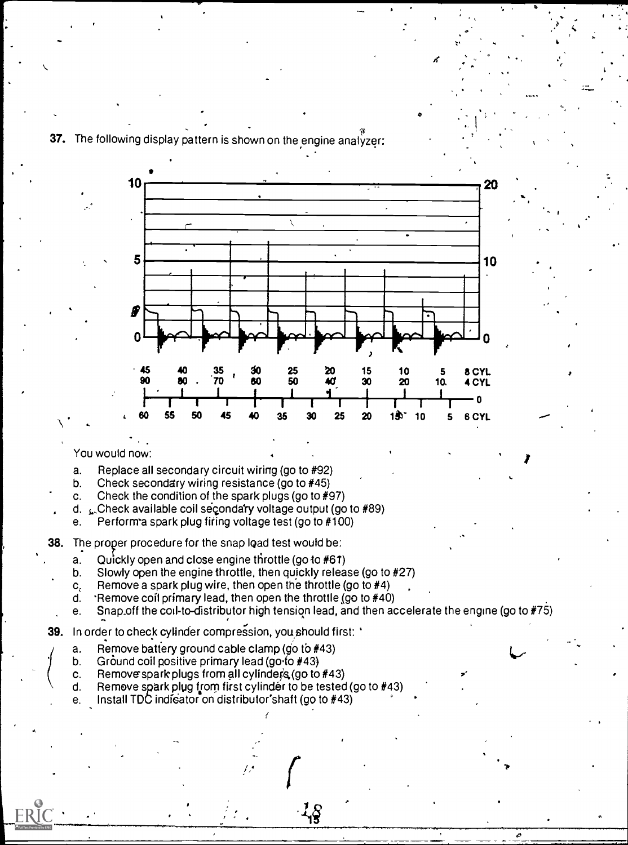37. The following display pattern is shown on the engine analyzer:

 $\mathbf{r} = \mathbf{r} \times \mathbf{r}$ 



e and design of the set of the set of the set of the set of the set of the set of the set of the set of the set of the set of the set of the set of the set of the set of the set of the set of the set of the set of the set

I

 $\epsilon$ 

.

........

, r

#### You would now:

- a. Replace all secondary circuit wiring (go to #92)
- b. Check secondary wiring resistance (go to #45)
- c. Check the condition of the spark plugs (go to #97)
- d.  $\sqrt{2}$ Check available coil secondary voltage output (go to #89)
- e. Perform a spark plug firing voltage test (go to  $#100$ )
- 38. The proper procedure for the snap load test would be:
	- a. Quickly open and close engine throttle (go to  $#61$ )
	- b. Slowly open the engine throttle, then quickly release (go to #27)
	- $c_i$  Remove a spark plug wire, then open the throttle (go to  $#4$ )
	- d. The move coil primary lead, then open the throttle (go to  $#40$ )
	- e. Snap off the coil-to-distributor high tension lead, and then accelerate the engine (go to  $#75$ )

ပို့မှိ

- 39. In order to check cylinder compregsion, you should first: '
	- a. Remove battery ground cable clamp (go to  $#43$ )
	- b. Ground coil positive primary lead (go to  $#43$ )
	- c. Remove spark plugs from all cylinders (go to  $#43$ )
	- d. Remove spark plug from first cylinder to be tested (go to  $#43$ )

 $\mathcal{L}$ 

e. Install TDC indicator on distributor'shaft (go to  $#43$ )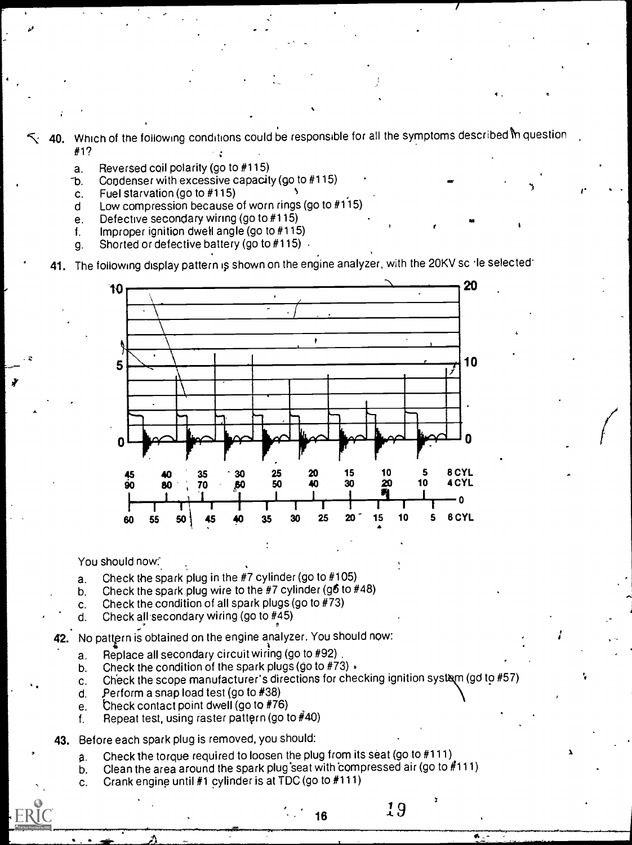40. Which of the following conditions could be responsible for all the symptoms described In question #1?

e

1

 $\epsilon$  the set

- 
- a. Reversed coil polarity (go to #115) b. Condenser with excessive capacity (go to #115) c. Fuel starvation (go to #115) . i <sup>r</sup>
- 
- d Low compression because of worn rings (go to  $\#115$ )
- e. Defective secondary wiring (go to  $#115$ )<br>f. Improper ignition dwell angle (go to  $#115$ )
- Improper ignition dwell angle (go to  $#115$ )
- g. Shorted or defective battery (go to  $#115$ ).

41. The following display pattern is shown on the engine analyzer, with the 20KV sc 'le selected'



#### You should now:

- a. Check the spark plug in the #7 cylinder (go to #105)
- b. Check the spark plug wire to the #7 cylinder (g6 to #48)
- c. Check the condition of all spark plugs (go to  $#73$ ) d. Check all secondary wiring (go to  $#45$ )
- d. Check all secondary wiring (go to  $\sharp$ 45)
- No pattern is obtained on the engine analyzer. You should now:
	- a. Replace all secondary circuit wiring (go to  $#92$ )
	- b. Check the condition of the spark plugs (go to  $#73$ )  $\cdot$
	- c. Check the scope manufacturer's directions for checking ignition system (gd to #57)
	- d. Perform a snap load test (go to #38)
	- e. Check contact point dwell (go to  $#76$ )
	- f. Repeat test, using raster pattern (go to  $\hat{H}40$ )
- 43. Before each spark plug is removed, you should:
	- a. Check the torque required to loosen the plug from its seat (go to #111)
	- b. Clean the area around the spark plug seat with compressed air (go to  $\#111$ )
	- c. Crank engine until #1 cylinder is at TDC (go to #111)

16  $19$   $^{3}$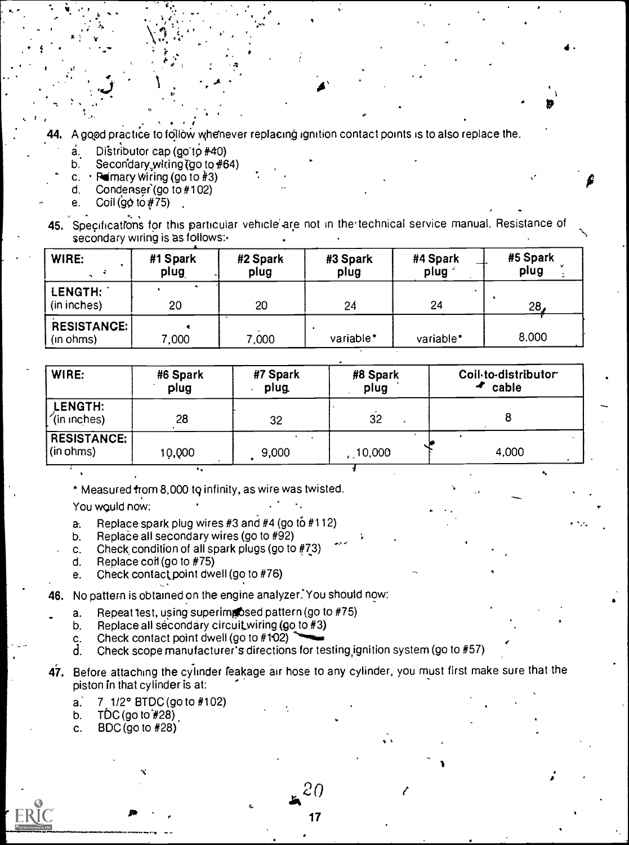- A good practice to follow whenever replacing ignition contact points is to also replace the.
	- $a.$  Distributor cap (go to  $#40$ )
	- b. Secondary wiring (go to  $#64$ )
	- c.  $\cdot$  Poimary Wiring (go to  $#3$ )
	- d. Condenser (go to  $#102$ )

 $\bullet$  , where  $\bullet$ 

 $\mathcal{L}^{\text{max}}$ 

,

- e. Coil (go to  $#75$ )
- 45. Specifications for this particular vehicle are not in the technical service manual. Resistance of secondary wiring is as follows:

p

ti

4

| WIRE:                           | #1 Spark<br>plug | #2 Spark<br>plug | #3 Spark<br>plug | #4 Spark<br>plug <sup>3</sup> | #5 Spark<br>plug |
|---------------------------------|------------------|------------------|------------------|-------------------------------|------------------|
| LENGTH:<br>(in inches)          | 20               | 20               | 24               | 24                            | 28.              |
| <b>RESISTANCE:</b><br>(in ohms) | .000             | 7,000            | variable*        | variable*                     | 8,000            |

| WIRE:                           | #6 Spark<br>plug | #7 Spark<br>plug | #8 Spark<br>plug | Coil to distributor<br>◀<br>cable |
|---------------------------------|------------------|------------------|------------------|-----------------------------------|
| LENGTH:<br>$\int$ (in inches)   | 28               | 32               | 32               |                                   |
| <b>RESISTANCE:</b><br>(in ohms) | 10,000           | 9,000            | 10,000           | 4,000                             |

\* Measured from 8,000 tq infinity, as wire was twisted.

You wquld now:

- a. Replace spark plug wires  $#3$  and  $#4$  (go to  $#112$ )
- b. Replace all secondary wires (go to  $#92$ )
- c. Check condition of all spark plugs (go to #73)
- d. Replace coil (go to #75)
- e. Check contact point dwell (go to #76)
- 46. No pattern is obtained on the engine analyzer. You should now:
	- a. Repeat test, using superimosed pattern (go to  $#75$ )
	- b. Replace all secondary circuit wiring (go to #3)
	- Check contact point dwell (go to  $\#102$ ) c.
	- d. Check scope manufacturer's directions for testing,ignition system (go to #57)
- 47. Before attaching the cylinder leakage air hose to any cylinder, you must first make sure that the piston in that cylinder is at:
	- a: 7 1/2° BTDC (go to #102)
	- b.  $\overline{TOC}$  (go to  $\overline{428}$ )
	- c. BDC (go to  $#28$ )

17

 $4<sup>2</sup>$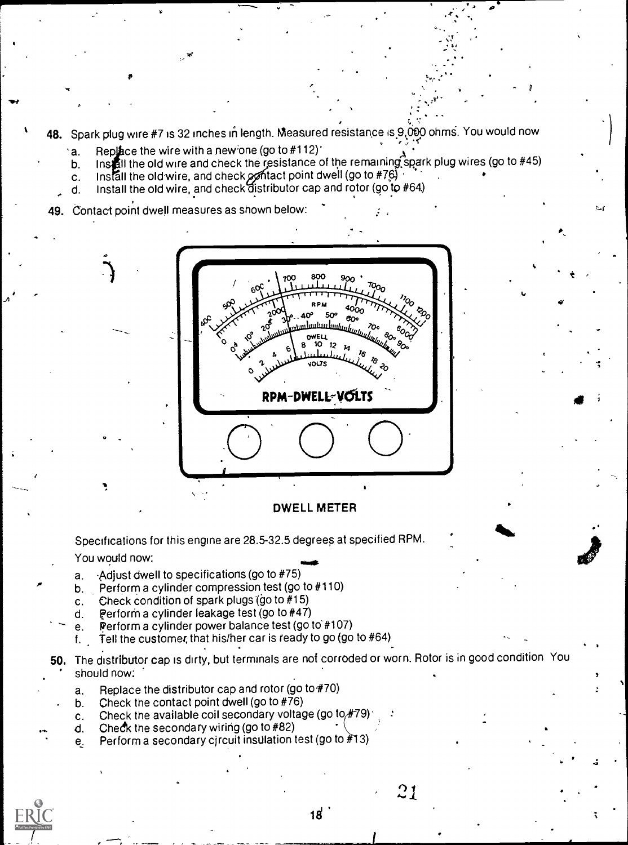48. Spark plug wire #7 is 32 inches in length. Measured resistance is 9,000 ohms. You would now

- Replace the wire with a new one (go to  $#112$ ). ٠a.
- spark Rep ce the wire with a new:one (go to #112)' b. In II the old wire and check the resistance of the remaininaspark plug wires (go to #45)

 $\mathbf{L}$ 

a

- c. Install the old wire, and check  $\alpha$  that point dwell (go to #76) . The set of  $\alpha$
- d. Install the old wire, and check distributor cap and rotor (go to #64)

49. Contact point dwell measures as shown below:

 $\theta$ 



## DWELL METER

Specifications for this engine are 28.5-32.5 degrees at specified RPM.

You would now:

 $\overline{\mathbf{r}}$  . The state  $\overline{\mathbf{r}}$ 

- a.  $\rightarrow$  Adjust dwell to specifications (go to #75)
- b. Perform a cylinder compression test (go to #110)
- c. Check condition of spark plugs (go to #15)
- d. Perform a cylinder leakage test (go to  $#47$ )
- e. Perform a cylinder power balance test (go to #107)
- f. Tell the customer, that his/her car is ready to go (go to  $#64$ )
- 50. The distributor cap is dirty, but terminals are not corroded or worn. Rotor is in good condition You should now:
	- a. Replace the distributor cap and rotor (go to#70)
	- b. Check the contact point dwell (go to #76)
	- c. Check the available coil secondary voltage (go to  $#79$ )
	- d. Check the secondary wiring (go to  $#82$ )
	- e. Perform a secondary circuit insulation test (go to  $#13$ )

 $\lambda$ 

 $21$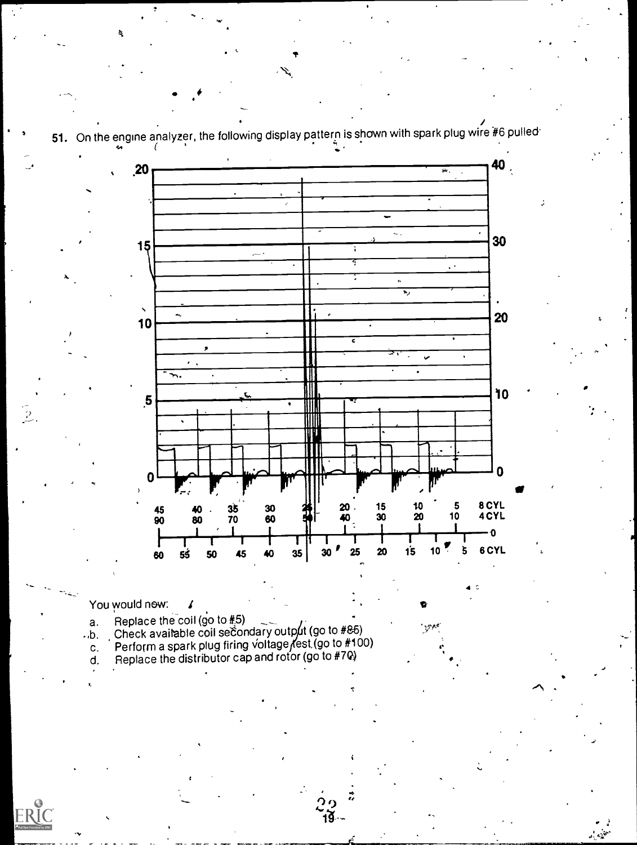51. On the engine analyzer, the following display pattern is shown with spark plug wire #6 pulled



# You would new:

ERIC

- a.
- $\cdot$ , b.
- Replace the coil (go to #5)<br>Check available coil secondary output (go to #85)<br>Perform a spark plug firing voltage rest (go to #100)<br>Replace the distributor cap and rotor (go to #70)  $\mathsf{C}.$ 
	- d.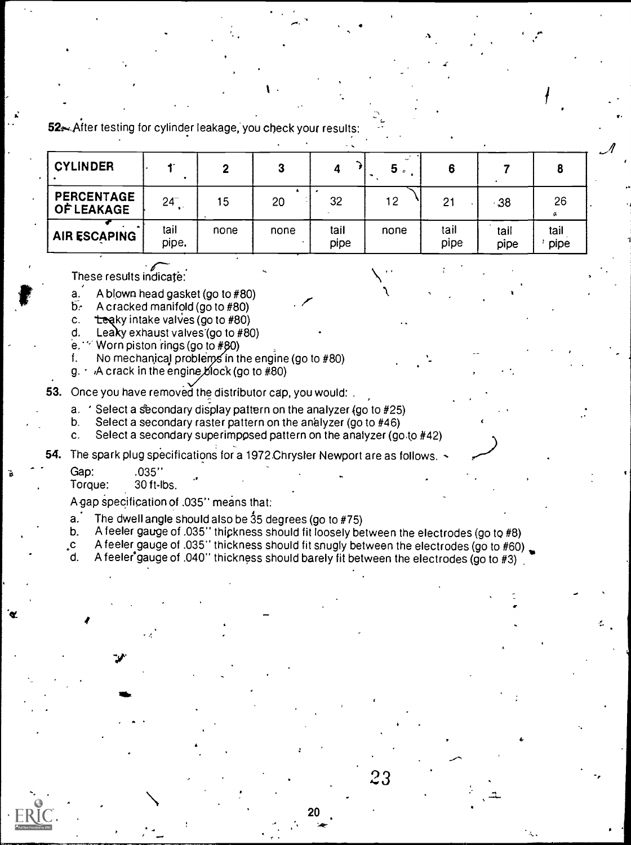52 After testing for cylinder leakage, you check your results:

| <b>CYLINDER</b>          |               |      |      |              | 5<br>D |              |              |              |  |
|--------------------------|---------------|------|------|--------------|--------|--------------|--------------|--------------|--|
| PERCENTAGE<br>OF LEAKAGE | $24^{-}$      | 15   | 20   | 32           | 12     | 21           | 38           | 26<br>a      |  |
| <b>AIR ESCAPING</b>      | tail<br>pipe. | none | none | tail<br>pipe | none   | tail<br>pipe | tail<br>pipe | tail<br>pipe |  |

the contract of

# These results indicate:

a. A blown head gasket (go to #80)<br> $\overline{b}_c$  A cracked manifold (go to #80)

A cracked manifold (go to #80)

- c. teqky intake valves (go to  $#80$ )
- d. Leaky exhaust valves (go to  $#80$ )

e.  $\sim$  Worn piston rings (go to #80)

- f. No mechanical problems in the engine (go to #80)  $q \cdot \sqrt{2}$  crack in the engine block (go to #80)
- A crack in the engine block (go to  $#80$ )

53. Once you have removed the distributor cap, you would:

- a. ' Select a secondary display pattern on the analyzer (go to  $#25$ )<br>b. Select a secondary raster pattern on the analyzer (go to  $#46$ )
- b. Select a secondary raster pattern on the analyzer (go to #46)<br>c. Select a secondary superimposed pattern on the analyzer (go
- Select a secondary superimposed pattern on the analyzer (go to  $#42$ )

54. The spark plug specifications for a 1972 Chryster Newport are as follows.

Gap: .035"<br>Torque: 30 ft-ll

30 ft-lbs.

A gap specification of .035" means that:

- a. The dwell angle should also be  $35$  degrees (go to  $\#75$ )<br>b. A feeler gauge of .035'' thickness should fit loosely be
- b. A feeler gauge of .035" thickness should fit loosely between the electrodes (go to #8)
- c A feeler gauge of .035" thickness should fit snugly between the electrodes (go to #60).

A feeler gauge of .040" thickness should barely fit between the electrodes (go to #3)

20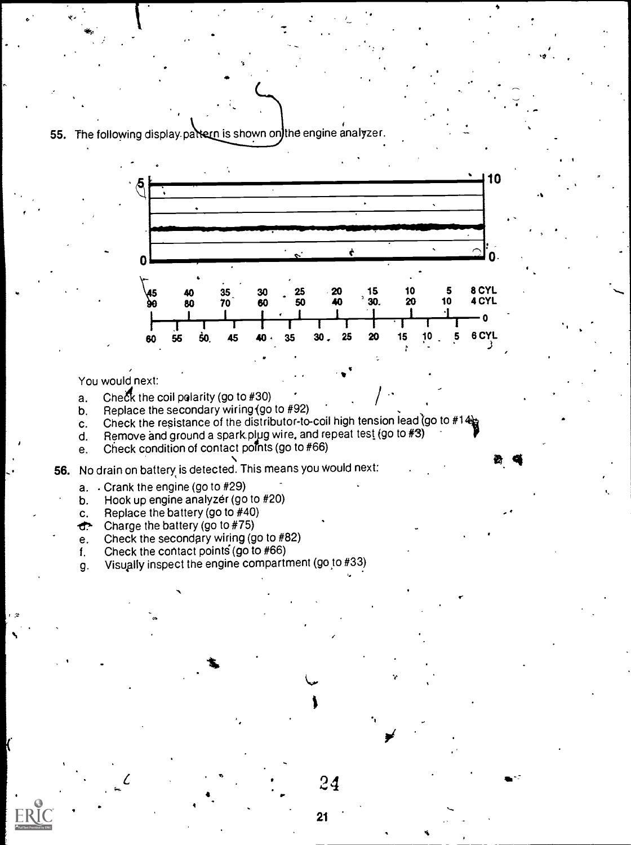

4.



-

24

21

-a+

# You would next:

a

- a. Check the coil polarity (go to  $#30$ )
- b. Replace the secondary wiring (go to  $#92$ )
- c. Check the resistance of the distributor-to-coil high tension lead (go to  $\#14$ )<br>d. Remove and ground a spark plug wire, and repeat test (go to  $\#3$ )
- Remove and ground a spark plug wire, and repeat test (go to #3)
- e. Check condition of contact points (go to #66)

56. No drain on battery is detected. This means you would next:

- a.  $\cdot$  Crank the engine (go to #29)
- b. Hook up engine analyzer (go to #20)
- c. Replace the battery (go to  $#40$ )<br> **c.** Charge the battery (go to  $#75$ )
- Charge the battery (go to #75)

OS

- e. Check the secondary wiring (go to #82)
- f. Check the contact points (go to  $#66$ )
- g. Visuplly inspect the engine compartment (go to #33)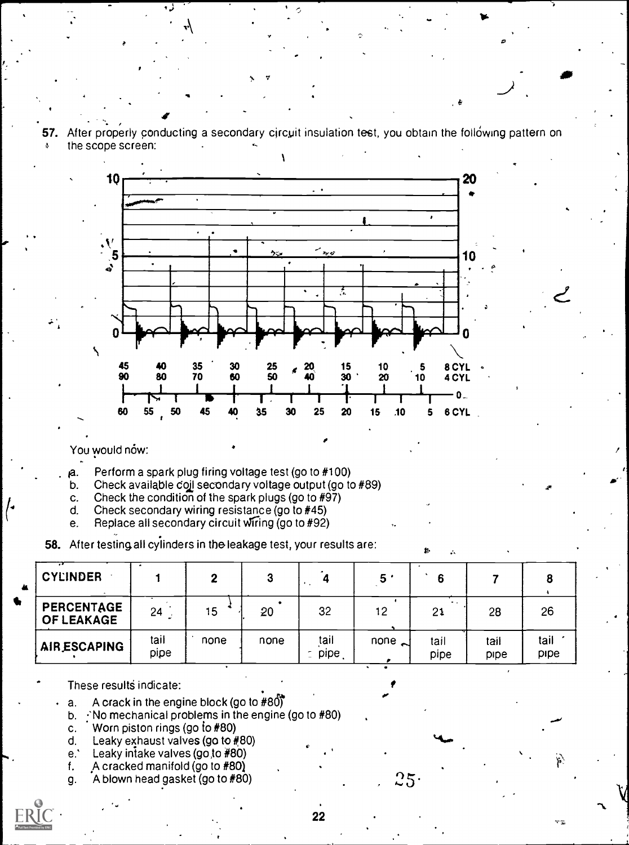57. After properly conducting a secondary circuit insulation test, you obtain the following pattern on the scope screen:



You would now:

- $a.$  Perform a spark plug firing voltage test (go to  $#100$ )
- b. Check available coil secondary voltage output (go to  $#89$ ) c. Check the condition of the spark plugs (go to  $#97$ )
- Check the condition of the spark plugs (go to  $#97$ )
- d. Check secondary wiring resistance (go to #45)
- e. Replace all secondary circuit Wiring (go to #92)
- 58. After testing all cylinders in the leakage test, your results are:

| 4 | <b>CYLINDER</b>                        |              |      |      |              | 5 <sup>°</sup> |              |              |              |  |
|---|----------------------------------------|--------------|------|------|--------------|----------------|--------------|--------------|--------------|--|
|   | <b>PERCENTAGE</b><br><b>OF LEAKAGE</b> | 24           | 15   | 20   | 32           | 12             | . .<br>21    | 28           | 26           |  |
|   | <b>AIR ESCAPING</b>                    | tail<br>pipe | none | none | tail<br>pipe | none           | tail<br>pipe | tail<br>pipe | tail<br>pipe |  |

These results indicate:

a. A crack in the engine block (go to  $#80$ )

b.  $\cdot$ No mechanical problems in the engine (go to #80)

c. Worn piston rings (go fo #80)

d. Leaky exhaust valves (go to #80)

e.' Leaky intake valves (go,to #80)

f. A cracked manifold (go to #80)

g. A blown head gasket (go to #80)

22

 $25.$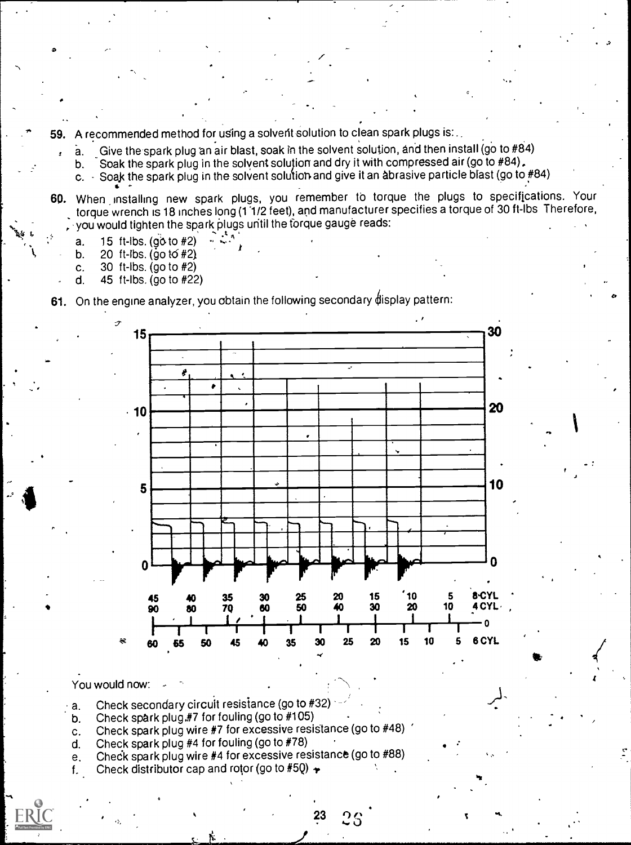59. A recommended method for using a solvent solution to clean spark plugs is:

a. Give the spark plug an air blast, soak in the solvent solution, and then install (go to #84).<br>b. Soak the spark plug in the solvent solution and dry it with compressed air (go to #84).

Soak the spark plug in the solvent solution and dry it with compressed air (go to #84).

c. Soak the spark plug in the solvent solution and give it an abrasive particle blast (go to #84)

60. When installing new spark plugs, you remember to torque the plugs to specifications. Your torque wrench is 18 inches long (1 1/2 feet), and manufacturer specifies a torque of 30 ft-lbs Therefore, you would tighten the spark plugs until the forque gauge reads: .t

 $\sim$   $\sim$ 

- 
- a. 15 ft-lbs. (go to #2)<br>b. 20 ft-lbs. (go to #2) 20 ft-lbs. (go to  $#2$ )

ste to the second second the second second second second second second second second second second second second second second second second second second second second second second second second second second second seco

- c.  $30$  ft-lbs. (go to #2)<br>d.  $45$  ft-lbs. (go to #22
- d. 45 ft-lbs. (go to #22)

61. On the engine analyzer, you obtain the following secondary display pattern:



 $23\quad 25$ 

0

#### You would now:

a. Check secondary circuit resistance (go to #32)

- b. Check spark plug.#7 for fouling (go to #105)
- c. Check spark plug wire #7 for excessive resistance (go to #48)
- d. Check spark plug #4 for fouling (go to #78)
- e. Chedk spark plug wire #4 for excessive resistance (go to #88)
- f. Check distributor cap and rotor (go to #50)  $\rightarrow$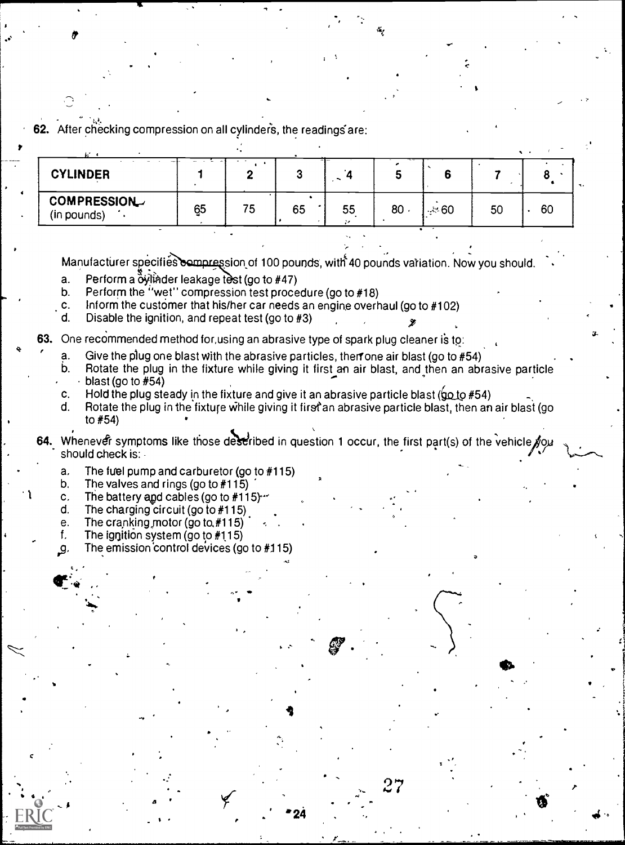# 62. After checking compression on all cylinders, the readings are:

| $\cdots$                          |           |    |    |    |     |      |    |    |      |
|-----------------------------------|-----------|----|----|----|-----|------|----|----|------|
| <b>CYLINDER</b>                   |           |    |    | ~  |     |      |    |    | - 11 |
| <b>COMPRESSION</b><br>(in pounds) | <b>65</b> | 75 | 65 | 55 | 80. | -≋60 | 50 | 60 |      |

dif

 $27 - 1$ 

to.

,

 $\bullet$  24 and  $\ddots$ 

Manufacturer specifies compression of 100 pounds, with 40 pounds variation. Now you should.

- a. Perform a  $\ddot{\text{o}}$  yimus leakage test (go to #47)
- b. Perform the "wet" compression test procedure (go to #18)
- c. Inform the customer that his/her car needs an engine overhaul (go to  $\#102$ ) d. Disable the ignition, and repeat test (go to  $\#3$ )
- Disable the ignition, and repeat test (go to  $#3$ )

# 63. One recommended method for,using an abrasive type of spark plug cleaner is to:<br> $\frac{4}{10}$  a. . Give the plug one blast with the abrasive particles, there one air blast (go to #

V

- . a. Give the plug one blast with the abrasive particles, therrone air blast (go to #54)  $\overline{b}$ . Rotate the plug in the fixture while giving it first an air blast, and then an abi
- Rotate the plug in the fixture while giving it first an air blast, and then an abrasive particle blast (go to #54)
- c. Hold the plug steady in the fixture and give it an abrasive particle blast  $(gq to #54)$
- d. Rotate the plug in the fixture while giving it first'an abrasive particle blast, then an air blast (go to #54)
- 64. Whenever symptoms like those described in question 1 occur, the first part(s) of the vehicle  $y_{Q}$ should check is:
	- a. The fuel pump and carburetor (go to  $#115$ )<br>b. The valves and rings (go to  $#115$ )
	- The valves and rings (go to  $#115$ )
	- c. The battery and cables (go to  $#115$ ).
	- d. The charging circuit (go to  $#115$ )

 $1 - 1$ 

 $\blacksquare$ 

- e. The cranking motor (go to  $#115$ )
- f. The ignition system (go to  $#115$ )
- The emission control devices (go to  $#115$ )

.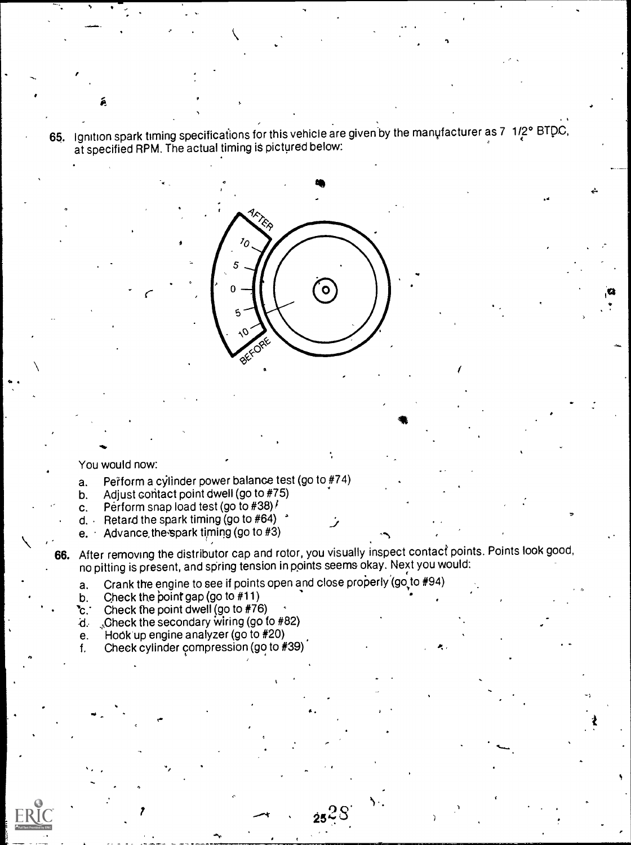65. Ignition spark timing specifications for this vehicle are given by the manufacturer as 7 1/2° BTpC, at specified RPM. The actual timing is pictured below:

it<del>an di sebagai ke</del>nya di sebagai ke

 $\mathbf{o}$ 

#### You would now:

- a. Perform a cylinder power balance test (go to  $#74$ )
- b. Adjust contact point dwell (go to #75)

 $\begin{array}{ccc} \sim & \end{array}$ 

- c. Perform snap load test (go to  $#38$ ) $\prime$
- d. Retard the spark timing (go to #64)  $\cdot$ <br>e. Advance the spark timing (go to #3)
- Advance, the spark timing (go to #3)

66. After removing the distributor cap and rotor, you visually inspect contact points. Points look good, no pitting is present, and spring tension in points seems okay. Next you would:

- a. Crank the engine to see if points open and close properly  $(go, to #94)$
- 
- b. Check the point gap (go to  $\#11$ )<br>
c. Check the point dwell (go to  $\#76$
- $\mathcal{F}_c$ . Check the point dwell (go to #76)<br>d. Check the secondary wiring (go to Check the secondary wiring (go fo #82)
- 
- e. Hook up engine analyzer (go to  $#20$ )<br>f. Check cylinder compression (go to  $#20$ f. Check cylinder compression (go to #39)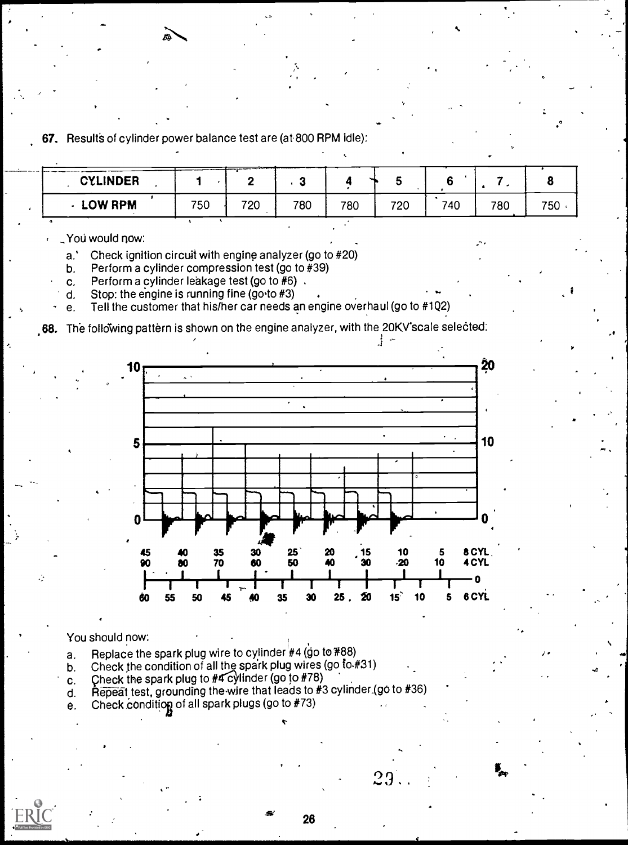# 67. Result's of cylinder power balance test are (at 800 RPM idle):

| <b>CYLINDER</b> |     | the property states of the con- |     |     |     |     |     |     |
|-----------------|-----|---------------------------------|-----|-----|-----|-----|-----|-----|
| <b>LOW RPM</b>  | 750 | 720                             | 780 | 780 | 720 | 740 | 780 | 750 |

I"

)

# \_You would now: .

a.' Check ignition circuit with engine analyzer (go to  $#20$ )<br>b. Perform a cylinder compression test (go to  $#39$ )

b. Perform a cylinder compression test (go to #39)

c. Perform a cylinder leakage test (go to  $#6$ ).<br>d. Stop: the engine is running fine (go to  $#3$ )

Stop: the engine is running fine (go $\to$  #3)

e. Tell the customer that his/her car needs an engine overhaul (go to #1Q2)

, 68. The following pattern is shown on the engine analyzer, with the 20KV'scale selected:



26

29 . .

# You should now:

- a. Replace the spark plug wire to cylinder #4 (go to #88)
- b. Check the condition of all the spark plug wires (go to #31)
- c. Check the spark plug to  $#4$  cylinder (go to  $#78$ ) d. Repeat test, grounding the wire that leads to  $#3$
- Repeat test, grounding the wire that leads to  $#3$  cylinder.(go to  $#36$ )
- e. Check condition of all spark plugs (go to #73)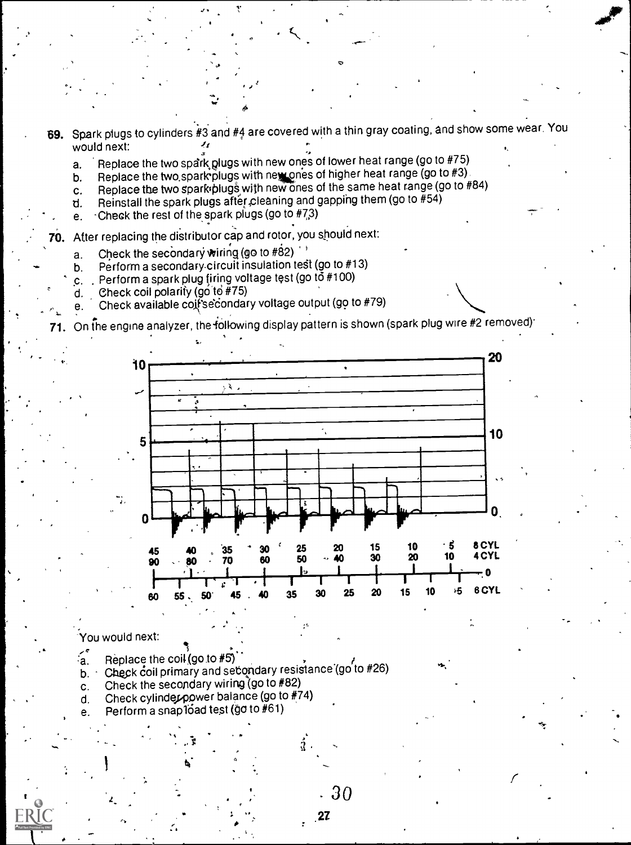- 69. Spark plugs to cylinders #3 and #4 are covered with a thin gray coating, and show some wear. You would next:
	- Replace the two spark plugs with new ones of lower heat range (go to #75) a.
	- Replace the two spark plugs with new ones of higher heat range (go to #3). b.
	- Replace the two spark plugs with new ones of the same heat range (go to #84) c.
	- Reinstall the spark plugs after cleaning and gapping them (go to #54) d.
	- Check the rest of the spark plugs (go to #73) e.

70. After replacing the distributor cap and rotor, you should next:

- Check the secondary wiring (go to #82) a.
- Perform a secondary circuit insulation test (go to #13) b.
- c. Perform a spark plug firing voltage test (go to #100)
- Check coil polarity (go to #75) d.
- Check available coifsecondary voltage output (go to #79) e.

71. On the engine analyzer, the following display pattern is shown (spark plug wire #2 removed).



# You would next:

- Replace the coil (go to #5) 'a.
- Check coil primary and secondary resistance (go'to #26) b.
- Check the secondary wiring (go to #82) C.
- Check cylinder power balance (go to #74) d.
- Perform a snap1oad test (go to #61)

30

27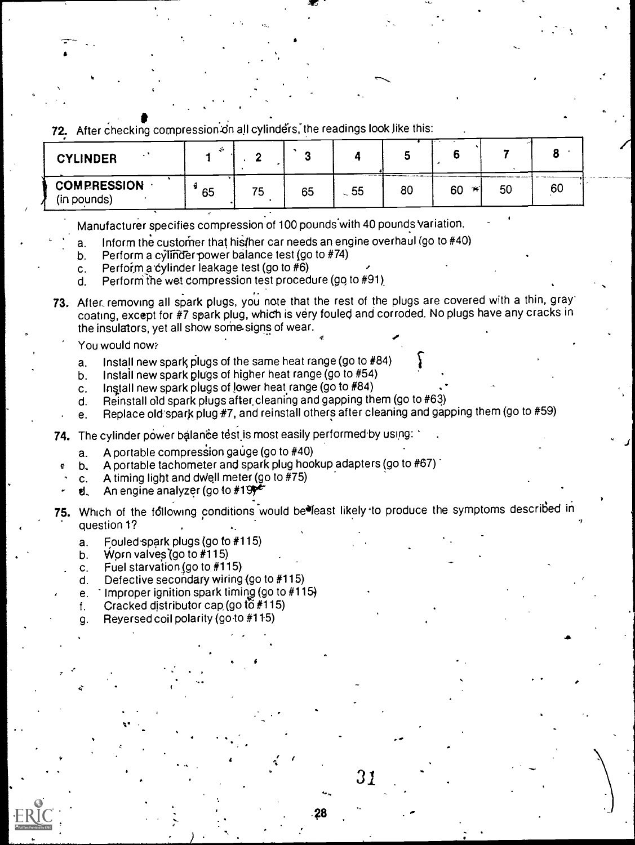72. After checking compression on all cylinders, the readings look like this:

| <b>CYLINDER</b>                   | 24 |         |    |             |    |            |    |    |  |
|-----------------------------------|----|---------|----|-------------|----|------------|----|----|--|
| <b>COMPRESSION</b><br>(in pounds) | 65 | 75<br>◡ | 65 | $\sqrt{55}$ | 80 | 60<br>-731 | 50 | 60 |  |

Manufacturer specifies compression of 100 pounds with 40 pounds variation.

- a. Inform the customer that his/her car needs an engine overhaul (go to #40)
- b. Perform a cylinder power balance test (go to  $#74$ )
- c. Perform a cylinder leakage test (go to  $#6$ )
- d. Perform the wet compression test procedure (go to #91).
- 73. After removing all spark plugs, you note that the rest of the plugs are covered with a thin, gray' coating, except for #7 spark plug, which is very fouled and corroded. No plugs have any cracks in the insulators, yet all show some-signs of wear.
	- You would now:

 $\ddot{\phantom{a}}$ 

- a. Install new spark plugs of the same heat range (go to  $#84$ )
- b. Install new spark plugs of higher heat range (go to #54)
- c. Install new spark plugs of lower heat range (go to #84)<br>d. Reinstall old spark plugs after cleaning and gapping th
- Reinstall old spark plugs after cleaning and gapping them (go to #63)
- e. Replace old spark plug #7, and reinstall others after cleaning and gapping them (go to #59)

74. The cylinder power balance test is most easily performed by using:

- a. A portable compression gauge (go to #40)
- b. A portable tachometer and spark plug hookup adapters (go to  $#67$ )
- c. A timing light and dwell meter (go to  $#75$ )
- $\mathbf{E}$ . An engine analyzer (go to  $\#195$
- 75. Which of the following conditions would belieast likely to produce the symptoms described in question 1?
	- a. Fouled spark plugs (go to  $#115$ )
	- b. Worn valves (go to  $#115$ )

r i s

c. Fuel starvation (go to  $#115$ )

 $\mathbf{S}^{\mathbf{w}}$  , we have a set of  $\mathbf{S}^{\mathbf{w}}$ 

- d. Defective secondary wiring {go to #115)
- e. Improper ignition spark timing (go to  $#115$ )
- f. Cracked distributor cap (go to  $\#115$ )

 $\mathcal{G}$  and  $\mathcal{G}$  are the set of  $\mathcal{G}$  and  $\mathcal{G}$  and  $\mathcal{G}'$  are the set of  $\mathcal{G}'$  and  $\mathcal{G}'$  are the set of  $\mathcal{G}'$  and  $\mathcal{G}'$  are the set of  $\mathcal{G}'$  and  $\mathcal{G}'$  are the set of  $\mathcal{G}'$  and  $\mathcal{G}'$  a

q. Reyersed coil polarity (go to  $#115$ )

31

.

,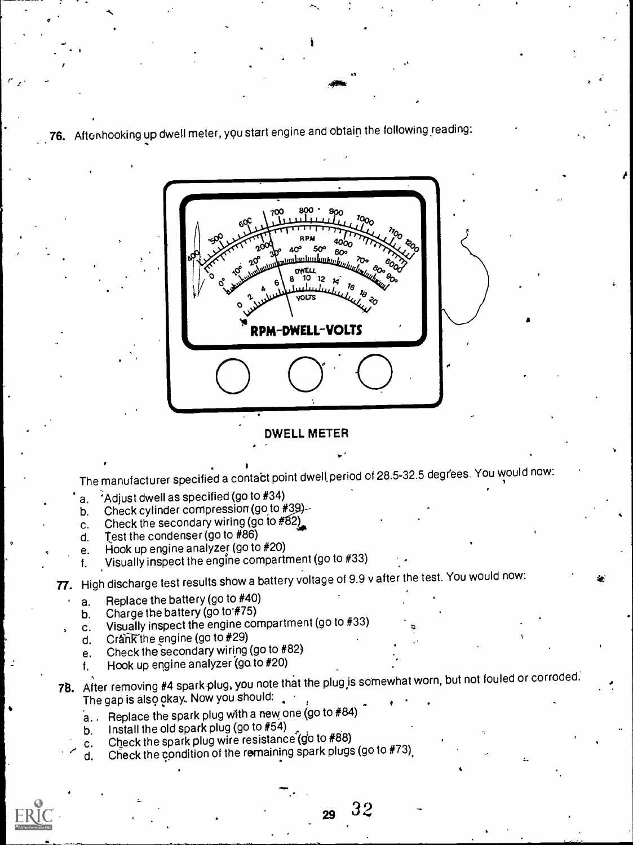

41

**76.** Aftor hooking up dwell meter, you start engine and obtain the following reading:

### DWELL METER

The manufacturer specified a contact point dwell. period of 28.5-32.5 degrees. You would now:

- a.  $\vec{i}$ Adjust dwell as specified (go to #34)<br>b. Check cylinder compression (go to #
- Check cylinder compression (go to #39)
- c. Check the secondary wiring (go to  $#82$ )<br>d. Test the condenser (go to  $#86$ )
- Test the condenser (go to #86)
- e. Hook up engine analyzer (go to #20)
- f. Visually inspect the engine compartment (go to #33)

77. High discharge test results show a battery voltage of 9.9 v after the test. You would now:

- a. Replace the battery (go to #40)
- b. Charge the battery (go to #75)
- c. Visually inspect the engine compartment (go to #33)
- d. Crank the engine (go to  $#29$ )
- e. Check the secondary wiring (go to #82)
- f. Hook up engine analyzer (go. to #20)
- 78. After removing #4 spark plug, you note that the plug is somewhat worn, but not fouled or corroded. The gap is also okay. Now you should:
	- a.  $\ell$  Replace the spark plug with a new one (go to #84)
	- b. Install the old spark plug (go to #54)
	- c. Check the spark plug wire resistance (go to #88)<br>d. Check the condition of the remaining spark plugs
	- Check the condition of the remaining spark plugs (go to #73)

<sub>29</sub> 32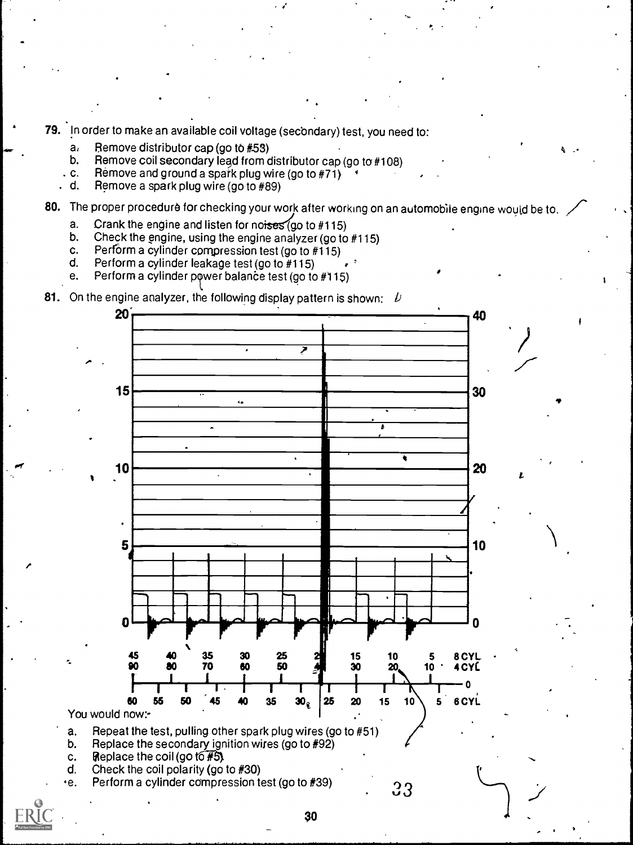79. In order to make an available coil voltage (secondary) test, you need to:

- a. Remove distributor cap (go to  $#53$ )
- b. Remove coil secondary lead from distributor cap (go to #108)<br>c. Remove and ground a spark plug wire (go to #71)
- c. Remove and ground a spark plug wire (go to  $#71$ ) d. Remove a spark plug wire (go to  $#89$ )
- Remove a spark plug wire (go to #89)

80. The proper procedure for checking your work after working on an automobile engine would be to.

 $\mathbf{q}$  -  $\mathbf{q}$  -  $\mathbf{q}$ 

 $\bullet$  and the set of  $\bullet$ 

1

i

- a. Crank the engine and listen for noises (go to  $#115$ )<br>b. Check the engine, using the engine analyzer (go to
- b. Check the engine, using the engine analyzer (go to  $#115$ ) c. Perform a cylinder compression test (go to  $#115$ )
- c. Perform a cylinder compression test (go to  $#115$ )<br>d. Perform a cylinder leakage test (go to  $#115$ )
- Perform a cylinder leakage test (go to  $#115$ )
- e. Perform a cylinder power balance test (go to  $#115$ )

81. On the engine analyzer, the following display pattern is shown:  $\not b$ 

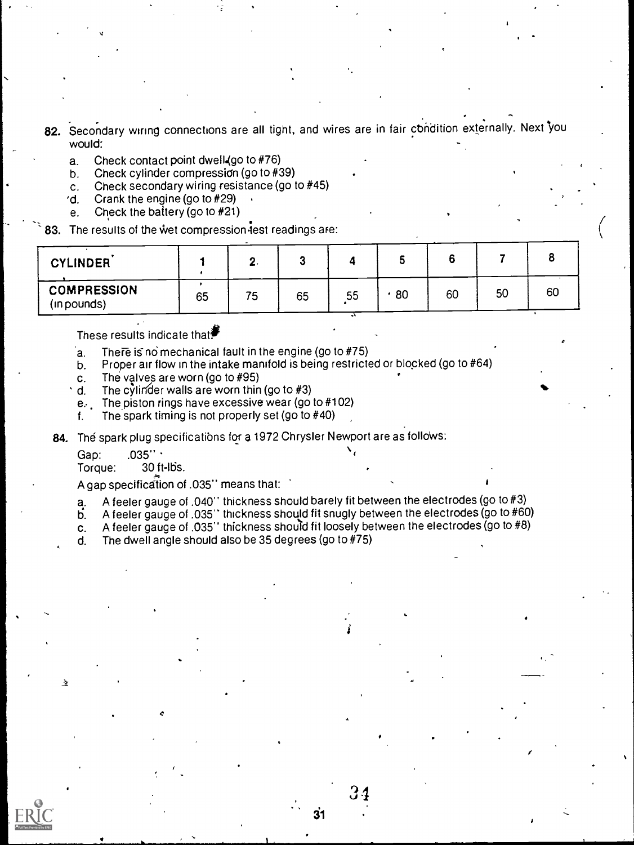- 82. Secondary wiring connections are all tight, and wires are in fair condition externally. Next you would:
	- a. Check contact point dwell (go to #76)<br>b. Check cylinder compression (go to #3
	- b. Check cylinder compression (go to #39)
	- c. Check secondary wiring resistance (go to  $#45$ )<br>d. Crank the engine (go to  $#29$ )
	- Crank the engine (go to  $#29$ )
	- e. Check the battery (go to #21)
- 83. The results of the wet compression test readings are:

| <b>CYLINDER</b>                   |    |    |    |    |    |    |    |    |
|-----------------------------------|----|----|----|----|----|----|----|----|
| <b>COMPRESSION</b><br>(in pounds) | 65 | 75 | 65 | 55 | 80 | 60 | 50 | 60 |

These results indicate that<sup>■</sup>

- $a.$  There is no mechanical fault in the engine (go to #75)
- b. Proper air flow in the intake manifold is being restricted or blocked (go to #64)
- c. The valves are worn (go to #95)<br>d. The cylinder walls are worn thin
- The cylinder walls are worn thin (go to  $#3$ )
- e... The piston rings have excessive wear (go to #102)
- f. The spark timing is not properly set (go to  $#40$ )

84. The spark plug specifications for a 1972 Chrysler Newport are as follows:

Gap: .035" \;<br>Torque: .030 ft

 $30$  ft-lbs.

A gap specification of .035" means that:

- a. A feeler gauge of .040" thickness should barely fit between the electrodes (go to #3)
- A feeler gauge of .035" thickness should fit snugly between the electrodes (go to #60) b.
- c. A feeler gauge of .035" thickness should fit loosely between the electrodes (go to #8)

d. The dwell angle should also be 35 degrees (go to #75)

 $34 -$ 

31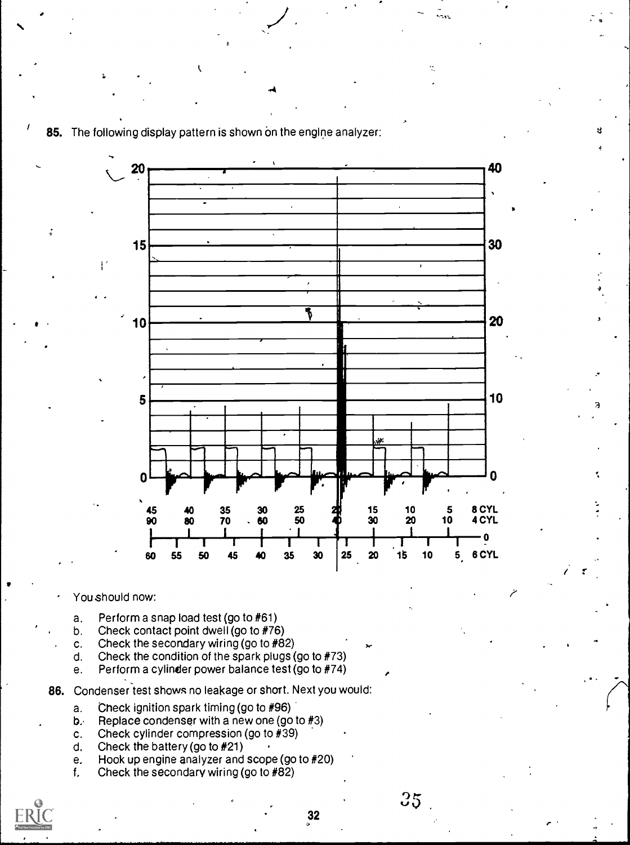85. The following display pattern is shown on the engine analyzer:

 $\mathcal{L}$ 

 $\ddot{\bullet}$  and the set of  $\ddot{\bullet}$ 



44

#### You should now:

- a. Perform a snap load test (go to #61)
- b. Check contact point dwell (go to #76)
- c. Check the secondary wiring (go to  $#82$ )
- d. Check the condition of the spark plugs (go to #73)
- e. Perform a cylinder power balance test (go to #74)
- 86. Condenser test shows no leakage or short. Next you would:
	- a. Check ignition spark timing (go to #96)
	- b. Replace condenser with a new one (go to #3)
	- c. Check cylinder compression (go to #39)
	- d. Check the battery (go to  $#21$ )
	- e. Hook up engine analyzer and scope (go to #20)
	- f. Check the secondary wiring (go to #82)

 $35\,$ 

 $\hat{I}$  respectively.

.:.

 $3 \sim 3$ 

3

32  $\sim$  , and the contract of the contract of the contract of the contract of the contract of the contract of the contract of the contract of the contract of the contract of the contract of the contract of the contract of th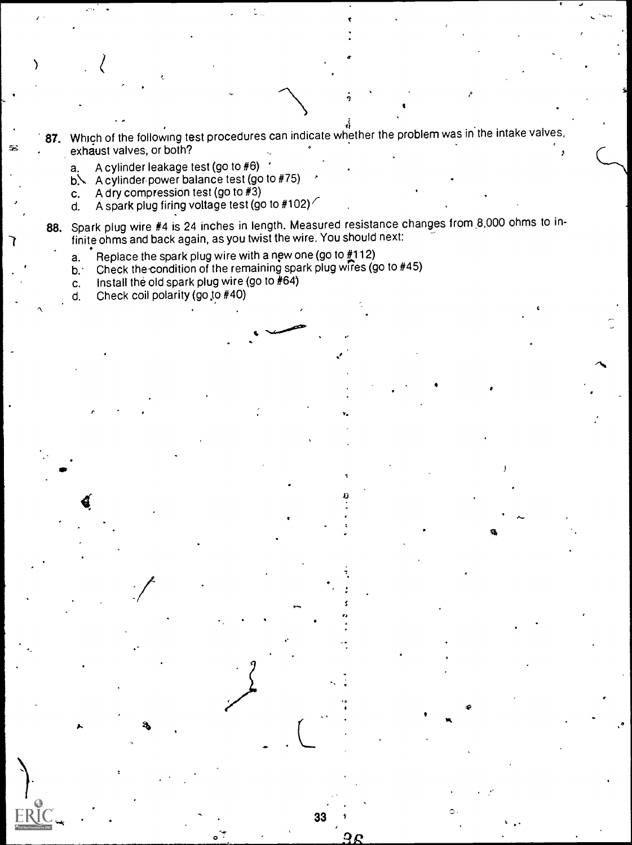$\hat{a}$  in the  $\hat{a}$ 87. Which of the following test procedures can indicate whether the problem was in the intake valves, exhaust valves, or both?  $\mathcal{F}$ 

 $\mathbf{I}$ 

&

a. A cylinder leakage test (go to #6)

) and  $\mathcal{L}$ 

- b.\ A cylinder-power balance test (go to #75)
- c. A dry compression test (go to  $#3$ )<br>d. A spark plug firing voltage test (go
- A spark plug firing voltage test (go to #102)
- 88. Spark plug wire #4 is 24 inches in length. Measured resistance changes from 8,000 ohms to infinite ohms and back again, as you twist the wire. You should next:

.

V.

33

 $\begin{array}{c}\n\bullet \\
\bullet \\
\end{array}$ 

,

 $\mathcal{F}$ 

- 
- a. Replace the spark plug wire with a new one (go to  $#112$ )<br>b. Check the condition of the remaining spark plug wires (g b: Check the condition of the remaining spark plug wires (go to #45)<br>c. Install the old spark plug wire (go to  $#64$ )
- c. Install the old spark plug wire (go to  $#64$ )<br>d. Check coil polarity (go to  $#40$ )
- Check coil polarity (go to #40)

 $\sigma_{\rm eff} \sim \sigma_{\rm eff}$ 

 $\mathbf{G}$ 

 $\mathcal{L}$ 

 $\begin{bmatrix} 1 & 1 \\ 0 & 1 \end{bmatrix}$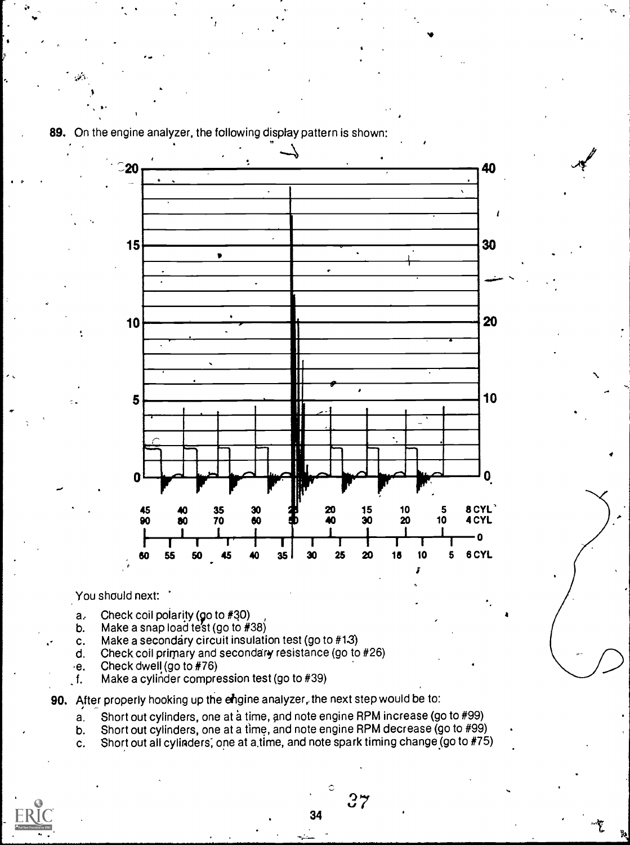

89. On the engine analyzer, the following display pattern is shown:

You should next:

- a, Check coil polarity (90 to #30)
- b. Make a snap load test (go to #38)
- c. Make a secondary circuit insulation test (go to #1.3)
- d. Check coil primary and secondary resistance (go to  $#26$ )
- e. Check dwell (go to #76)
- f. Make a cylinder compression test (go to #39)

90. After properly hooking up the engine analyzer, the next step would be to:

- a. Short out cylinders, one at a time, and note engine RPM increase (go to #99)
- b. Short out cylinders, one at a time, and note engine RPM decrease (go to #99)
- c. Short out all cylinders; one at a.time, and note spark timing change (go to #75)



 $+1$ 

7

a

r.

4

34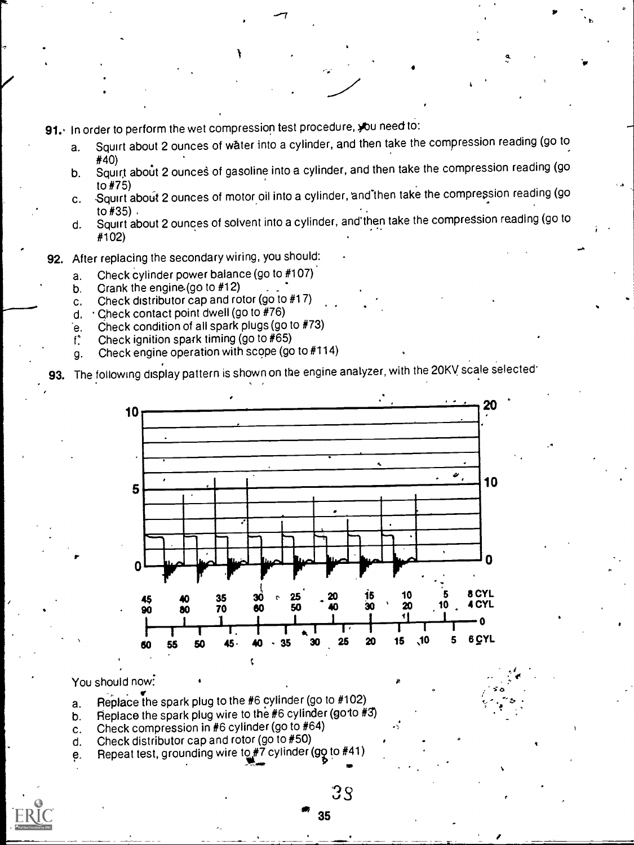91. In order to perform the wet compression test procedure, you need to:

- a. Squirt about 2 ounces of water into a cylinder, and then take the compression reading (go to  $\frac{440}{7}$
- #40)<br>b. Squirt about 2 ounces of gasoline into a cylinder, and then take the compression reading (go
- to #75)<br>c. Squirt about 2 ounces of motor oil into a cylinder, and then take the compression reading (go
- to #35) d. Squirt about 2 ounces of solvent into a cylinder, andthen take the compression reading (go to #102)
- 92. After replacing the secondary wiring, you should:
	- a. Check cylinder power balance (go to  $#107$ )<br>b. Crank the engine (go to  $#12$ )
	- b. Crank the engine.(go to #12)
	- c. Check distributor cap and rotor (go to #17)
	- d.  $\cdot$  Check contact point dwell (go to #76)
	- e. Check condition of all spark plugs (go to #73)<br>f. Check ignition spark timing (go to #65)
	- Check ignition spark timing (go to #65)
	- g. Check engine operation with scope (go to #114)

93. The following display pattern is shown on the engine analyzer, with the 20KV scale selected'



## You should now:

- $\cdot$  .  $\cdot$  .  $\cdot$  .  $\cdot$  .  $\cdot$  .  $\cdot$  .  $\cdot$  .  $\cdot$  .  $\cdot$  .  $\cdot$  .  $\cdot$  .  $\cdot$  .  $\cdot$  .  $\cdot$  .  $\cdot$  .  $\cdot$  .  $\cdot$  .  $\cdot$  .  $\cdot$  .  $\cdot$  .  $\cdot$  .  $\cdot$  .  $\cdot$  .  $\cdot$  .  $\cdot$  .  $\cdot$  .  $\cdot$  .  $\cdot$  .  $\cdot$  .  $\cdot$  .  $\cdot$  .  $\cdot$ a. Replace the spark plug to the #6 cylinder (go to #102)  $\frac{1}{2}$  ,  $\frac{1}{2}$  ,  $\frac{1}{2}$
- a. Replace the spark plug to the  $\#6$  cylinder (go to  $\#102$ ) b. Replace the spark plug wire to the  $\#6$  cylinder (go to  $\#3$ )
- c. Check compression in  $#6$  cylinder (go to  $#64$ )
- d. Check distributor cap and rotor (go to  $#50$ )
- e. Repeat test, grounding wire to #7 cylinder (go to #41)

3S

35

 $\bullet$  .  $\bullet$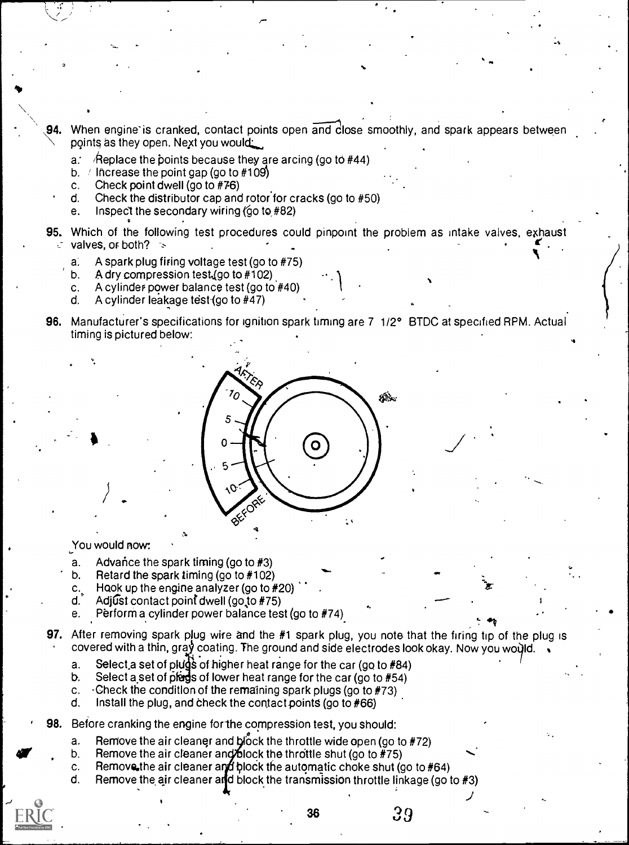- 94. When engine is cranked, contact points open and close smoothly, and spark appears between points as they open. Next you would:
	- a: Aeplace the points because they are arcing (go to  $#44$ )
	- b.  $\ell$  Increase the point gap (go to #109)
	- c. Check point dwell (go to #76)

'op

- d. Check the distributor cap and rotor for cracks (go to #50)
- e. InspeCt the secondary wiring (go to,#82)
- 95. Which of the following test procedures could pinpoint the problem as intake valves, exhaust valves, or both?  $\ge$

N

 $\mathcal{J}^{(1)}$  and  $\mathcal{J}^{(2)}$ 

 $\mathcal{A}$ 

- a. A spark plug firing voltage test (go to #75)
- b. A dry compression test (go to  $\#102$ )
- c. A cylinder power balance test (go to #40)<br>d. A cylinder leakage test (go to #47)
- A cylinder leakage test  $(go to #47)$
- 96. Manufacturer's specifications for ignition spark timing are 7 1/2° BTDC at specified RPM. Actual timing is pictured below:



### You would now

- a. Advance the spark timing (go to  $#3$ )
- b, Retard the spark timing (go to #102)
- c. Hook up the engine analyzer (go to  $#20$ )
- d. Adjust contact point dwell (go to  $#75$ )
- e. Perform a cylinder power balance test (go to #74).
- 97. After removing spark plug wire and the #1 spark plug, you note that the firing tip of the plug is covered with a thin, gray coating. The ground and side electrodes look okay. Now you would.  $\bullet$ 
	- a. Select a set of plugs of higher heat range for the car (go to  $#84$ )
	- b. Select a set of plads of lower heat range for the car (go to  $#54$ )
	- c. -Check the condition of the remaining spark plugs (go to #73)
	- d. Install the plug, and check the contact points (go to  $#66$ )
- **98.** Before cranking the engine for the compression test, you should:
	- a. Remove the air cleaner and block the throttle wide open (go to  $#72$ )
	- b. Remove the air cleaner and block the throttle shut (go to  $#75$ )
	- c. Remove the air cleaner and plock the automatic choke shut (go to #64)<br>d. Remove the air cleaner and block the transmission throttle linkage (go t
	- Remove the air cleaner and block the transmission throttle linkage (go to  $#3$ )

<sup>36</sup> 39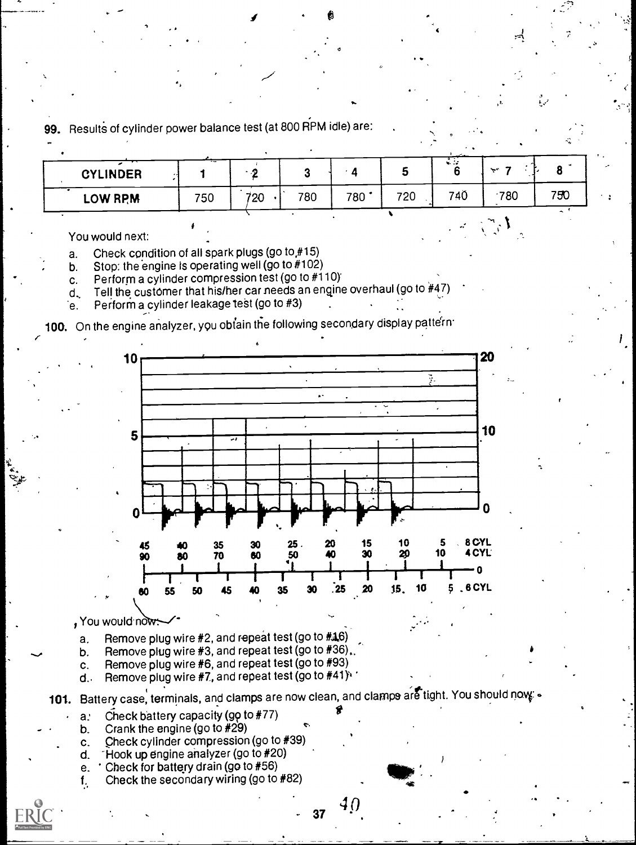99. Results of cylinder power balance test (at 800 RPM idle) are:

| <b>CYLINDER</b> | $\overline{\phantom{a}}$ |      |     |                 |     | المولي المنابعة | $\sim$ |     |  |
|-----------------|--------------------------|------|-----|-----------------|-----|-----------------|--------|-----|--|
| <b>LOW RPM</b>  | 750                      | 720. | 780 | $780^{\degree}$ | 720 | 740             | .780   | 750 |  |

You would next:

a. Check condition of all spark plugs (go to  $#15$ )<br>b. Stop: the engine is operating well (go to  $#102$ )

b. Stop: the engine is operating well (go to  $#102$ ) c. Perform a cylinder compression test (go to  $#1$ 

Perform a cylinder compression test (go to #110)

0

d. Tell the customer that his/her car needs an engine overhaul (go to  $#47$ )<br>e. Perform a cylinder leakage test (go to #3)

Perform a cylinder leakage test (go to #3)

100. On the engine analyzer, you obtain the following secondary display pattern.



, You would now:

a. Remove plug wire  $#2$ , and repeat test (go to  $#16$ )

b. Remove plug wire #3, and repeat test (go to #36),,

c. Remove plug wire  $#6$ , and repeat test (go to  $#93$ )

d. Remove plug wire #7, and repeat test (go to #41):

**101.** Battery case, terminals, and clamps are now clean, and clamps are tight. You should now  $\cdot$  $\mathcal{B}$ 

a: Check battery capacity (go to #77)

- b. Crank the engine (go to #29)
- c. Check cylinder compression (go to #39)<br>d. Flook up engine analyzer (go to #20)
- $\hat{H}$ ook up engine analyzer (go to  $\#20$ )
- e. Check for battery drain (go to #56)
- f. Check the secondary wiring (go to #82)

37  $40$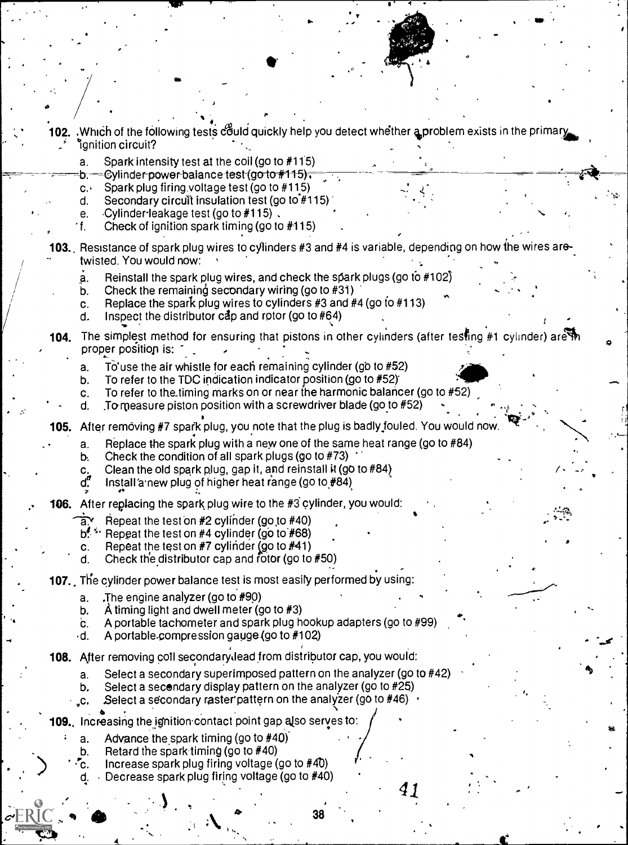$12.$  , Which of the following tests could quickly help you detect whether a problem exists in the primary **ignition circuit?** 

4

.,,

 $41$   $\ldots$ 

 $\cdot$  , .

 $\left| \sqrt{\left| \mathcal{L} \right|_{\text{max}} } \right|$ 

9

 $\mathbf{r}$ 

- a. Spark intensity test at the coil (go to  $#115$ )
- Cylinder power balance test (go to #115), b.
- c. Spark plug firing voltage test (go to  $#115$ )
- d. Secondary circuit insulation test (go to  $#115$ )
- e.  $\sqrt{C}$ Vlinder-leakage test (go to #115).

...

Y

 $\bullet$  /

- f. Check of ignition spark timing (go to  $#115$ )
- 103. Resistance of spark plug wires to cylinders #3 and #4 is variable, depending on how the wires are twisted. You would now:
	- $a.$  Reinstall the spark plug wires, and check the spark plugs (go to #102)
	- b. Check the remaining secondary wiring (go to  $#31$ )
	- c. Replace the spark plug wires to cylinders  $#3$  and  $#4$  (go to  $#113$ )
	- d. Inspect the distributor cap and rotor (go to  $#64$ )
- 104. The simplest method for ensuring that pistons in other cylinders (after testing #1 cylinder) are proper position is:
	- a. To use the air whistle for each remaining cylinder (go to #52)<br>b. To refer to the TDC indication indicator position (go to #52)
	-
	- c. To refer to the timing marks on or near the harmonic balancer (go to  $#52$ )
	- d. To measure piston position with a screwdriver blade (go to  $#52$ )

105. After removing #7 spark plug, you note that the plug is badly fouled. You would now

- a. Replace the spark plug with a new one of the same heat range (go to #84)
- b. Check the condition of all spark plugs (go to #73)
- c. Clean the old spark plug, gap it, and reinstall it (go to  $#84$ )<br>d<sup>"</sup> Install a new plug of higher heat range (go to  $#84$ )
- Install a new plug of higher heat range (go to  $#84)$

106. After replacing the spark plug wire to the #3 cylinder, you would:

- $\overline{a}$ . Repeat the test on #2 cylinder (go to #40)<br>b<sup>\*</sup>. Repeat the test on #4 cylinder (go to #68)
- Repeat the test on  $#4$  cylinder (go to  $#68$ )
- c. Repeat the test on  $#7$  cylinder (go to  $#41$ )
- d. Check the distributor cap and fotor (go to  $#50$ )

**107.** The cylinder power balance test is most easily performed by using:

- a. The engine analyzer (go to  $#90$ )
- b.  $\overrightarrow{A}$  timing light and dwell meter (go to  $\sharp 3$ )
- C. A portable tachometer and spark plug hookup adapters (go to #99)
- $-d.$  A portable compression gauge (go to  $#102$ )
- 108. After removing coil secondarydead from distributor cap, you would:
	- a. Select a secondary superimposed pattern on the analyzer (go to #42)
	- b. Select a secondary display pattern on the analyzer (go to #25)
	- $\epsilon$ . Select a secondary raster pattern on the analyzer (go to #46)  $\cdot$
- **109.** Increasing the ignition contact point gap also serves to:  $\bigg/$ 
	- a. Advance the spark timing (go to  $#40$ )

 $\mathcal{F}$ , see the set of  $\mathcal{F}$ 

b. Retard the spark timing  $(g \circ t \circ #40)$ 

 $\overline{4}$   $\overline{1}$ 

- $\zeta$ . Increase spark plug firing voltage (go to  $\#40$ )
- Decrease spark plug firing voltage (go to #40)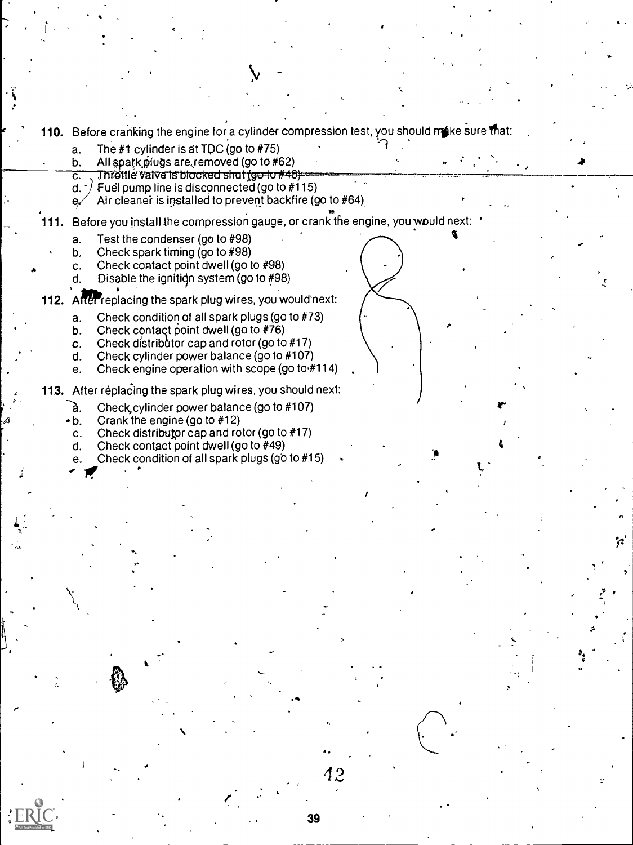110. Before cranking the engine for a cylinder compression test, you should make sure that:

 $\bullet$ 

39

 $42$  and  $42$ 

in the second control of the second second control in the second second control in the second second second second second second second second second second second second second second second second second second second se

S

A

- a. The  $#1$  cylinder is at TDC (go to  $#75$ )
- b. All spark plugs are removed (go to #62)<br>c. Throttle valve is blocked shut (go to #40)
- <u>c.</u>
- Fuel pump line is disconnected (go to #115)  $d.$
- $e \,$  Air cleaner is installed to prevent backfire (go to #64)
- 111. Before you install the compression gauge, or crank the engine, you would next:
	- a. Test the condenser (go to #98)

re de la provincia de

- b. Check spark timing (go to #98)
- c. Check contact point dwell (go to #98)
- d. Disable the ignition system (go to  $#98$ )
- 112. Arter replacing the spark plug wires, you would'next:
	- a. Check condition of all spark plugs (go to #73)
	- b. Check contact point dwell (go to #76)
	- c. Check distributor cap and rotor (go to #17)<br>d. Check cylinder power balance (go to #107)
	- Check cylinder power balance (go to #107)
	- e. Check engine operation with scope (go to #114)
- 113. After replacing the spark plug wires, you should next:
	- `à. Check, cylinder power balance (go to #107)
	- b. Crank the engine (go to #12)

. e

- c. Check distributor cap and rotor (go to #17)
- d. Check contact point dwell (go to #49)
- Check condition of all spark plugs (go to  $#15$ )